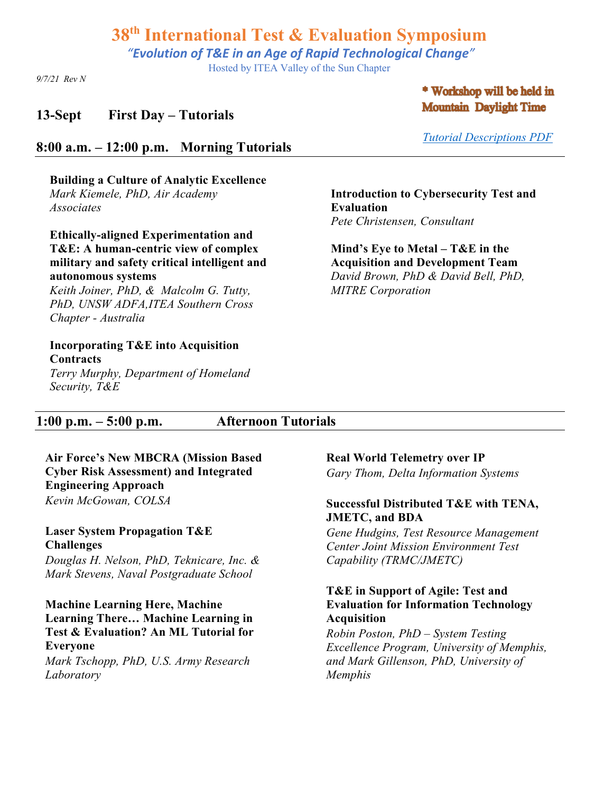*"Evolution of T&E in an Age of Rapid Technological Change"*

Hosted by ITEA Valley of the Sun Chapter

*9/7/21 Rev N*

### **13-Sept First Day – Tutorials**

### \* Workshop will be held in **Mountain Daylight Time**

*Tutorial Descriptions PDF*

### **8:00 a.m. – 12:00 p.m. Morning Tutorials**

**Building a Culture of Analytic Excellence** *Mark Kiemele, PhD, Air Academy Associates* 

**Ethically-aligned Experimentation and T&E: A human-centric view of complex military and safety critical intelligent and autonomous systems**

*Keith Joiner, PhD, & Malcolm G. Tutty, PhD, UNSW ADFA,ITEA Southern Cross Chapter - Australia*

#### **Incorporating T&E into Acquisition Contracts**

*Terry Murphy, Department of Homeland Security, T&E*

**Introduction to Cybersecurity Test and** 

**Evaluation**  *Pete Christensen, Consultant* **Mind's Eye to Metal – T&E in the** 

**Acquisition and Development Team** *David Brown, PhD & David Bell, PhD, MITRE Corporation*

## **1:00 p.m. – 5:00 p.m. Afternoon Tutorials**

**Air Force's New MBCRA (Mission Based Cyber Risk Assessment) and Integrated Engineering Approach** *Kevin McGowan, COLSA*

**Laser System Propagation T&E Challenges** *Douglas H. Nelson, PhD, Teknicare, Inc. & Mark Stevens, Naval Postgraduate School*

**Machine Learning Here, Machine Learning There… Machine Learning in Test & Evaluation? An ML Tutorial for Everyone** *Mark Tschopp, PhD, U.S. Army Research Laboratory*

**Real World Telemetry over IP**

*Gary Thom, Delta Information Systems*

#### **Successful Distributed T&E with TENA, JMETC, and BDA**

*Gene Hudgins, Test Resource Management Center Joint Mission Environment Test Capability (TRMC/JMETC)*

#### **T&E in Support of Agile: Test and Evaluation for Information Technology Acquisition**

*Robin Poston, PhD – System Testing Excellence Program, University of Memphis, and Mark Gillenson, PhD, University of Memphis*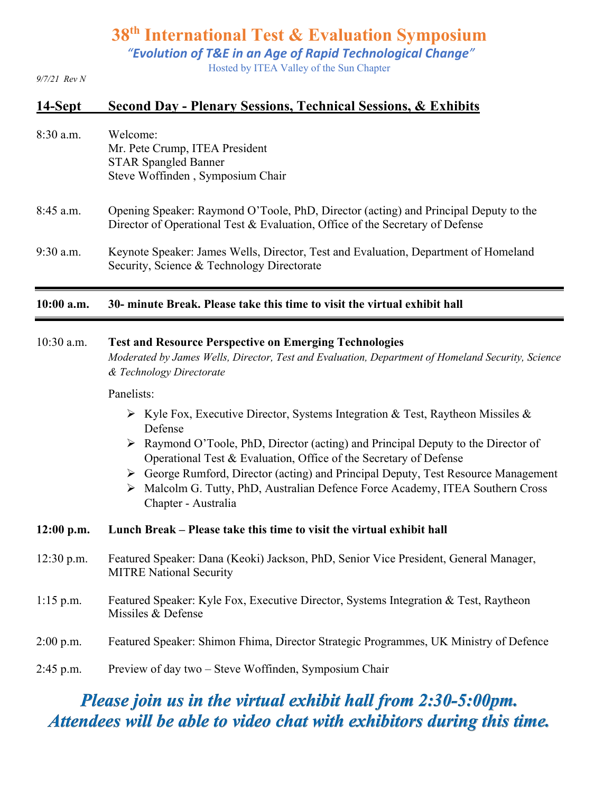*"Evolution of T&E in an Age of Rapid Technological Change"*

Hosted by ITEA Valley of the Sun Chapter

*9/7/21 Rev N*

# **14-Sept Second Day - Plenary Sessions, Technical Sessions, & Exhibits**

| $8:30$ a.m. | Welcome:                         |
|-------------|----------------------------------|
|             | Mr. Pete Crump, ITEA President   |
|             | <b>STAR Spangled Banner</b>      |
|             | Steve Woffinden, Symposium Chair |
|             |                                  |

- 8:45 a.m. Opening Speaker: Raymond O'Toole, PhD, Director (acting) and Principal Deputy to the Director of Operational Test & Evaluation, Office of the Secretary of Defense
- 9:30 a.m. Keynote Speaker: James Wells, Director, Test and Evaluation, Department of Homeland Security, Science & Technology Directorate

#### **10:00 a.m. 30- minute Break. Please take this time to visit the virtual exhibit hall**

#### 10:30 a.m. **Test and Resource Perspective on Emerging Technologies**

*Moderated by James Wells, Director, Test and Evaluation, Department of Homeland Security, Science & Technology Directorate*

#### Panelists:

- $\triangleright$  Kyle Fox, Executive Director, Systems Integration & Test, Raytheon Missiles & Defense
- $\triangleright$  Raymond O'Toole, PhD, Director (acting) and Principal Deputy to the Director of Operational Test & Evaluation, Office of the Secretary of Defense
- Ø George Rumford, Director (acting) and Principal Deputy, Test Resource Management
- Ø Malcolm G. Tutty, PhD, Australian Defence Force Academy, ITEA Southern Cross Chapter - Australia

#### **12:00 p.m. Lunch Break – Please take this time to visit the virtual exhibit hall**

- 12:30 p.m. Featured Speaker: Dana (Keoki) Jackson, PhD, Senior Vice President, General Manager, MITRE National Security
- 1:15 p.m. Featured Speaker: Kyle Fox, Executive Director, Systems Integration & Test, Raytheon Missiles & Defense
- 2:00 p.m. Featured Speaker: Shimon Fhima, Director Strategic Programmes, UK Ministry of Defence
- 2:45 p.m. Preview of day two Steve Woffinden, Symposium Chair

# *Please join us in the virtual exhibit hall from 2:30-5:00pm. Attendees will be able to video chat with exhibitors during this time.*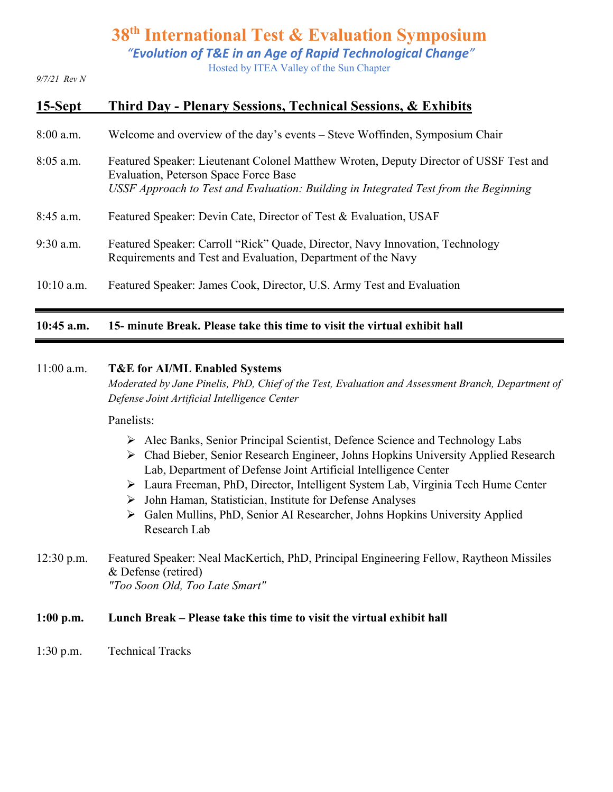*"Evolution of T&E in an Age of Rapid Technological Change"*

Hosted by ITEA Valley of the Sun Chapter

*9/7/21 Rev N*

# **15-Sept Third Day - Plenary Sessions, Technical Sessions, & Exhibits**

- 8:00 a.m. Welcome and overview of the day's events Steve Woffinden, Symposium Chair
- 8:05 a.m. Featured Speaker: Lieutenant Colonel Matthew Wroten, Deputy Director of USSF Test and Evaluation, Peterson Space Force Base *USSF Approach to Test and Evaluation: Building in Integrated Test from the Beginning*
- 8:45 a.m. Featured Speaker: Devin Cate, Director of Test & Evaluation, USAF
- 9:30 a.m. Featured Speaker: Carroll "Rick" Quade, Director, Navy Innovation, Technology Requirements and Test and Evaluation, Department of the Navy
- 10:10 a.m. Featured Speaker: James Cook, Director, U.S. Army Test and Evaluation

### **10:45 a.m. 15- minute Break. Please take this time to visit the virtual exhibit hall**

#### 11:00 a.m. **T&E for AI/ML Enabled Systems**

*Moderated by Jane Pinelis, PhD, Chief of the Test, Evaluation and Assessment Branch, Department of Defense Joint Artificial Intelligence Center*

Panelists:

- Ø Alec Banks, Senior Principal Scientist, Defence Science and Technology Labs
- Ø Chad Bieber, Senior Research Engineer, Johns Hopkins University Applied Research Lab, Department of Defense Joint Artificial Intelligence Center
- Ø Laura Freeman, PhD, Director, Intelligent System Lab, Virginia Tech Hume Center
- $\triangleright$  John Haman, Statistician, Institute for Defense Analyses
- Ø Galen Mullins, PhD, Senior AI Researcher, Johns Hopkins University Applied Research Lab
- 12:30 p.m. Featured Speaker: Neal MacKertich, PhD, Principal Engineering Fellow, Raytheon Missiles & Defense (retired) *"Too Soon Old, Too Late Smart"*

#### **1:00 p.m. Lunch Break – Please take this time to visit the virtual exhibit hall**

1:30 p.m. Technical Tracks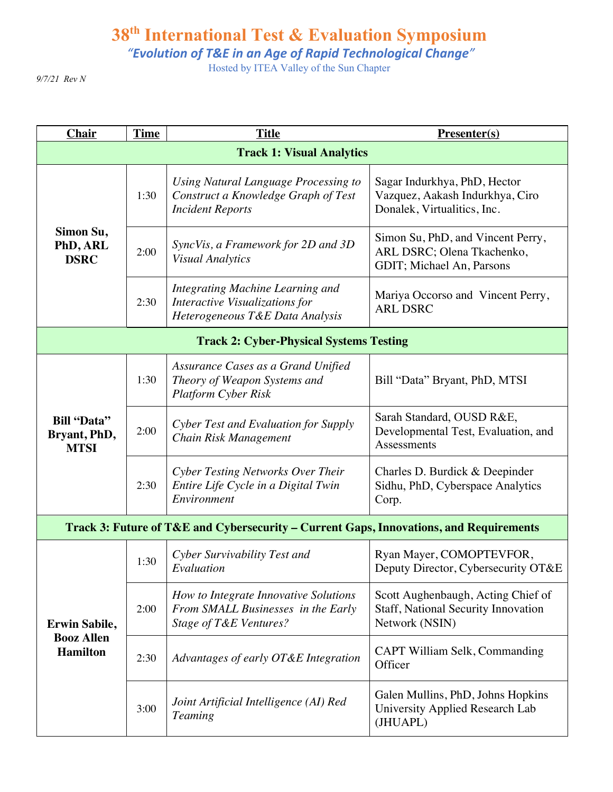*"Evolution of T&E in an Age of Rapid Technological Change"*

Hosted by ITEA Valley of the Sun Chapter

*9/7/21 Rev N*

| <b>Chair</b>                                                 | <b>Time</b> | <b>Title</b>                                                                                                 | Presenter(s)                                                                                   |  |
|--------------------------------------------------------------|-------------|--------------------------------------------------------------------------------------------------------------|------------------------------------------------------------------------------------------------|--|
| <b>Track 1: Visual Analytics</b>                             |             |                                                                                                              |                                                                                                |  |
| Simon Su,<br>PhD, ARL<br><b>DSRC</b>                         | 1:30        | Using Natural Language Processing to<br>Construct a Knowledge Graph of Test<br><b>Incident Reports</b>       | Sagar Indurkhya, PhD, Hector<br>Vazquez, Aakash Indurkhya, Ciro<br>Donalek, Virtualitics, Inc. |  |
|                                                              | 2:00        | SyncVis, a Framework for 2D and 3D<br><b>Visual Analytics</b>                                                | Simon Su, PhD, and Vincent Perry,<br>ARL DSRC; Olena Tkachenko,<br>GDIT; Michael An, Parsons   |  |
|                                                              | 2:30        | <b>Integrating Machine Learning and</b><br>Interactive Visualizations for<br>Heterogeneous T&E Data Analysis | Mariya Occorso and Vincent Perry,<br><b>ARL DSRC</b>                                           |  |
| <b>Track 2: Cyber-Physical Systems Testing</b>               |             |                                                                                                              |                                                                                                |  |
| <b>Bill "Data"</b><br>Bryant, PhD,<br><b>MTSI</b>            | 1:30        | Assurance Cases as a Grand Unified<br>Theory of Weapon Systems and<br><b>Platform Cyber Risk</b>             | Bill "Data" Bryant, PhD, MTSI                                                                  |  |
|                                                              | 2:00        | Cyber Test and Evaluation for Supply<br>Chain Risk Management                                                | Sarah Standard, OUSD R&E,<br>Developmental Test, Evaluation, and<br>Assessments                |  |
|                                                              | 2:30        | Cyber Testing Networks Over Their<br>Entire Life Cycle in a Digital Twin<br>Environment                      | Charles D. Burdick & Deepinder<br>Sidhu, PhD, Cyberspace Analytics<br>Corp.                    |  |
|                                                              |             | Track 3: Future of T&E and Cybersecurity – Current Gaps, Innovations, and Requirements                       |                                                                                                |  |
| <b>Erwin Sabile,</b><br><b>Booz Allen</b><br><b>Hamilton</b> | 1:30        | Cyber Survivability Test and<br>Evaluation                                                                   | Ryan Mayer, COMOPTEVFOR,<br>Deputy Director, Cybersecurity OT&E                                |  |
|                                                              | 2:00        | How to Integrate Innovative Solutions<br>From SMALL Businesses in the Early<br>Stage of T&E Ventures?        | Scott Aughenbaugh, Acting Chief of<br>Staff, National Security Innovation<br>Network (NSIN)    |  |
|                                                              | 2:30        | Advantages of early OT&E Integration                                                                         | CAPT William Selk, Commanding<br>Officer                                                       |  |
|                                                              | 3:00        | Joint Artificial Intelligence (AI) Red<br><b>Teaming</b>                                                     | Galen Mullins, PhD, Johns Hopkins<br>University Applied Research Lab<br>(JHUAPL)               |  |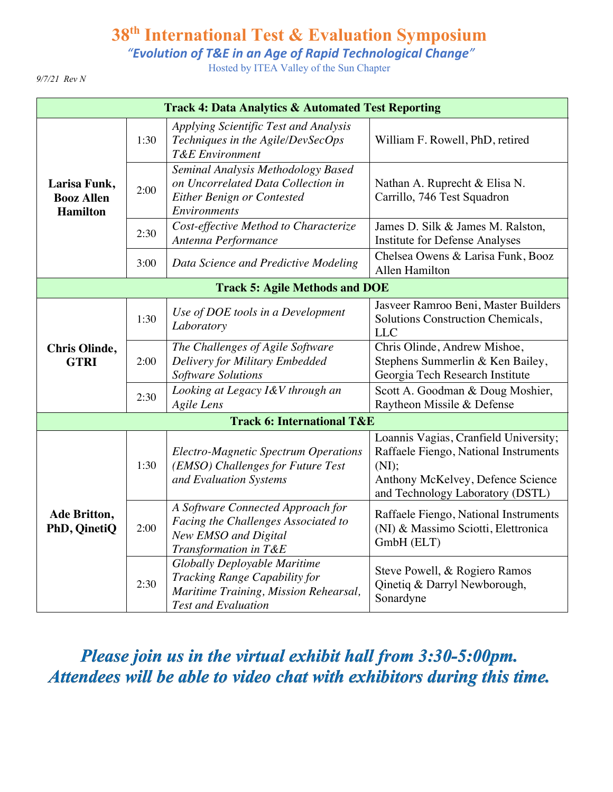*"Evolution of T&E in an Age of Rapid Technological Change"*

Hosted by ITEA Valley of the Sun Chapter

*9/7/21 Rev N*

| <b>Track 4: Data Analytics &amp; Automated Test Reporting</b> |      |                                                                                                                                             |                                                                                                                                                                  |
|---------------------------------------------------------------|------|---------------------------------------------------------------------------------------------------------------------------------------------|------------------------------------------------------------------------------------------------------------------------------------------------------------------|
| Larisa Funk,<br><b>Booz Allen</b><br><b>Hamilton</b>          | 1:30 | Applying Scientific Test and Analysis<br>Techniques in the Agile/DevSecOps<br><b>T&amp;E</b> Environment                                    | William F. Rowell, PhD, retired                                                                                                                                  |
|                                                               | 2:00 | Seminal Analysis Methodology Based<br>on Uncorrelated Data Collection in<br><b>Either Benign or Contested</b><br>Environments               | Nathan A. Ruprecht & Elisa N.<br>Carrillo, 746 Test Squadron                                                                                                     |
|                                                               | 2:30 | Cost-effective Method to Characterize<br>Antenna Performance                                                                                | James D. Silk & James M. Ralston,<br><b>Institute for Defense Analyses</b>                                                                                       |
|                                                               | 3:00 | Data Science and Predictive Modeling                                                                                                        | Chelsea Owens & Larisa Funk, Booz<br>Allen Hamilton                                                                                                              |
| <b>Track 5: Agile Methods and DOE</b>                         |      |                                                                                                                                             |                                                                                                                                                                  |
| <b>Chris Olinde,</b><br><b>GTRI</b>                           | 1:30 | Use of DOE tools in a Development<br>Laboratory                                                                                             | Jasveer Ramroo Beni, Master Builders<br>Solutions Construction Chemicals,<br><b>LLC</b>                                                                          |
|                                                               | 2:00 | The Challenges of Agile Software<br>Delivery for Military Embedded<br>Software Solutions                                                    | Chris Olinde, Andrew Mishoe,<br>Stephens Summerlin & Ken Bailey,<br>Georgia Tech Research Institute                                                              |
|                                                               | 2:30 | Looking at Legacy I&V through an<br><b>Agile Lens</b>                                                                                       | Scott A. Goodman & Doug Moshier,<br>Raytheon Missile & Defense                                                                                                   |
|                                                               |      | <b>Track 6: International T&amp;E</b>                                                                                                       |                                                                                                                                                                  |
| Ade Britton,<br>PhD, QinetiQ                                  | 1:30 | <b>Electro-Magnetic Spectrum Operations</b><br>(EMSO) Challenges for Future Test<br>and Evaluation Systems                                  | Loannis Vagias, Cranfield University;<br>Raffaele Fiengo, National Instruments<br>(NI);<br>Anthony McKelvey, Defence Science<br>and Technology Laboratory (DSTL) |
|                                                               | 2:00 | A Software Connected Approach for<br>Facing the Challenges Associated to<br>New EMSO and Digital<br>Transformation in T&E                   | Raffaele Fiengo, National Instruments<br>(NI) & Massimo Sciotti, Elettronica<br>GmbH (ELT)                                                                       |
|                                                               | 2:30 | <b>Globally Deployable Maritime</b><br>Tracking Range Capability for<br>Maritime Training, Mission Rehearsal,<br><b>Test and Evaluation</b> | Steve Powell, & Rogiero Ramos<br>Qinetiq & Darryl Newborough,<br>Sonardyne                                                                                       |

*Please join us in the virtual exhibit hall from 3:30-5:00pm. Attendees will be able to video chat with exhibitors during this time.*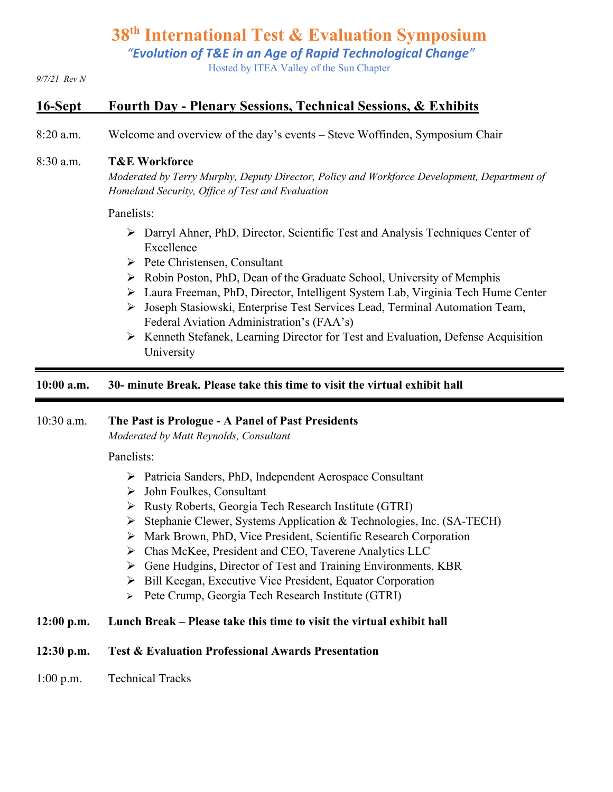*"Evolution of T&E in an Age of Rapid Technological Change"*

Hosted by ITEA Valley of the Sun Chapter

#### *9/7/21 Rev N*

### **16-Sept Fourth Day - Plenary Sessions, Technical Sessions, & Exhibits**

8:20 a.m. Welcome and overview of the day's events – Steve Woffinden, Symposium Chair

#### 8:30 a.m. **T&E Workforce**

*Moderated by Terry Murphy, Deputy Director, Policy and Workforce Development, Department of Homeland Security, Office of Test and Evaluation*

#### Panelists:

- Ø Darryl Ahner, PhD, Director, Scientific Test and Analysis Techniques Center of Excellence
- $\triangleright$  Pete Christensen, Consultant
- Ø Robin Poston, PhD, Dean of the Graduate School, University of Memphis
- Ø Laura Freeman, PhD, Director, Intelligent System Lab, Virginia Tech Hume Center
- Ø Joseph Stasiowski, Enterprise Test Services Lead, Terminal Automation Team, Federal Aviation Administration's (FAA's)
- Ø Kenneth Stefanek, Learning Director for Test and Evaluation, Defense Acquisition University

#### **10:00 a.m. 30- minute Break. Please take this time to visit the virtual exhibit hall**

#### 10:30 a.m. **The Past is Prologue - A Panel of Past Presidents**

*Moderated by Matt Reynolds, Consultant*

Panelists:

- Ø Patricia Sanders, PhD, Independent Aerospace Consultant
- $\triangleright$  John Foulkes, Consultant
- Ø Rusty Roberts, Georgia Tech Research Institute (GTRI)
- Ø Stephanie Clewer, Systems Application & Technologies, Inc. (SA-TECH)
- Ø Mark Brown, PhD, Vice President, Scientific Research Corporation
- Ø Chas McKee, President and CEO, Taverene Analytics LLC
- Ø Gene Hudgins, Director of Test and Training Environments, KBR
- Ø Bill Keegan, Executive Vice President, Equator Corporation
- Ø Pete Crump, Georgia Tech Research Institute (GTRI)

#### **12:00 p.m. Lunch Break – Please take this time to visit the virtual exhibit hall**

#### **12:30 p.m. Test & Evaluation Professional Awards Presentation**

1:00 p.m. Technical Tracks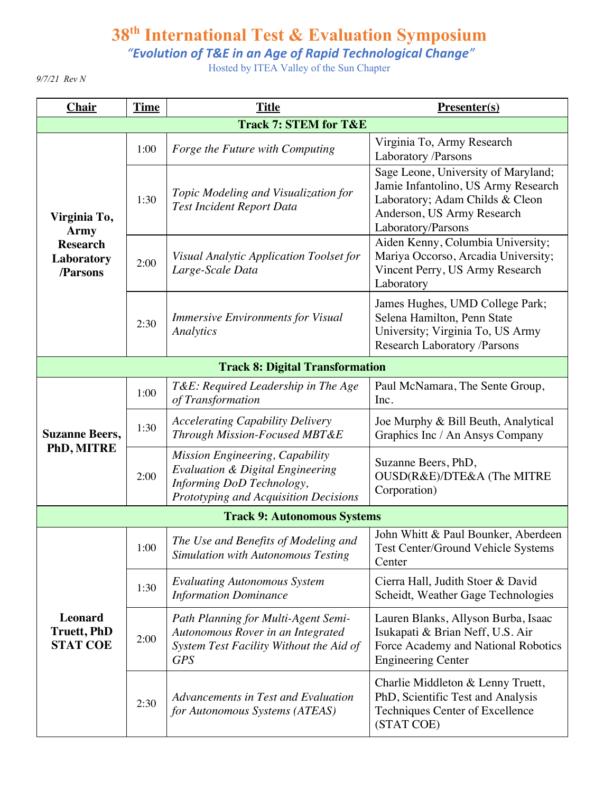*"Evolution of T&E in an Age of Rapid Technological Change"*

Hosted by ITEA Valley of the Sun Chapter

*9/7/21 Rev N*

| <b>Chair</b>                                                             | <b>Time</b> | <b>Title</b>                                                                                                                                         | <b>Presenter(s)</b>                                                                                                                                               |  |
|--------------------------------------------------------------------------|-------------|------------------------------------------------------------------------------------------------------------------------------------------------------|-------------------------------------------------------------------------------------------------------------------------------------------------------------------|--|
| <b>Track 7: STEM for T&amp;E</b>                                         |             |                                                                                                                                                      |                                                                                                                                                                   |  |
| Virginia To,<br><b>Army</b><br><b>Research</b><br>Laboratory<br>/Parsons | 1:00        | Forge the Future with Computing                                                                                                                      | Virginia To, Army Research<br>Laboratory /Parsons                                                                                                                 |  |
|                                                                          | 1:30        | Topic Modeling and Visualization for<br><b>Test Incident Report Data</b>                                                                             | Sage Leone, University of Maryland;<br>Jamie Infantolino, US Army Research<br>Laboratory; Adam Childs & Cleon<br>Anderson, US Army Research<br>Laboratory/Parsons |  |
|                                                                          | 2:00        | Visual Analytic Application Toolset for<br>Large-Scale Data                                                                                          | Aiden Kenny, Columbia University;<br>Mariya Occorso, Arcadia University;<br>Vincent Perry, US Army Research<br>Laboratory                                         |  |
|                                                                          | 2:30        | <b>Immersive Environments for Visual</b><br><b>Analytics</b>                                                                                         | James Hughes, UMD College Park;<br>Selena Hamilton, Penn State<br>University; Virginia To, US Army<br><b>Research Laboratory /Parsons</b>                         |  |
| <b>Track 8: Digital Transformation</b>                                   |             |                                                                                                                                                      |                                                                                                                                                                   |  |
| <b>Suzanne Beers,</b><br>PhD, MITRE                                      | 1:00        | T&E: Required Leadership in The Age<br>of Transformation                                                                                             | Paul McNamara, The Sente Group,<br>Inc.                                                                                                                           |  |
|                                                                          | 1:30        | <b>Accelerating Capability Delivery</b><br>Through Mission-Focused MBT&E                                                                             | Joe Murphy & Bill Beuth, Analytical<br>Graphics Inc / An Ansys Company                                                                                            |  |
|                                                                          | 2:00        | Mission Engineering, Capability<br><b>Evaluation &amp; Digital Engineering</b><br>Informing DoD Technology,<br>Prototyping and Acquisition Decisions | Suzanne Beers, PhD,<br>OUSD(R&E)/DTE&A (The MITRE<br>Corporation)                                                                                                 |  |
|                                                                          |             | <b>Track 9: Autonomous Systems</b>                                                                                                                   |                                                                                                                                                                   |  |
| <b>Leonard</b><br><b>Truett, PhD</b><br><b>STAT COE</b>                  | 1:00        | The Use and Benefits of Modeling and<br><b>Simulation with Autonomous Testing</b>                                                                    | John Whitt & Paul Bounker, Aberdeen<br><b>Test Center/Ground Vehicle Systems</b><br>Center                                                                        |  |
|                                                                          | 1:30        | <b>Evaluating Autonomous System</b><br><b>Information Dominance</b>                                                                                  | Cierra Hall, Judith Stoer & David<br>Scheidt, Weather Gage Technologies                                                                                           |  |
|                                                                          | 2:00        | Path Planning for Multi-Agent Semi-<br>Autonomous Rover in an Integrated<br>System Test Facility Without the Aid of<br><b>GPS</b>                    | Lauren Blanks, Allyson Burba, Isaac<br>Isukapati & Brian Neff, U.S. Air<br>Force Academy and National Robotics<br><b>Engineering Center</b>                       |  |
|                                                                          | 2:30        | Advancements in Test and Evaluation<br>for Autonomous Systems (ATEAS)                                                                                | Charlie Middleton & Lenny Truett,<br>PhD, Scientific Test and Analysis<br>Techniques Center of Excellence<br>(STAT COE)                                           |  |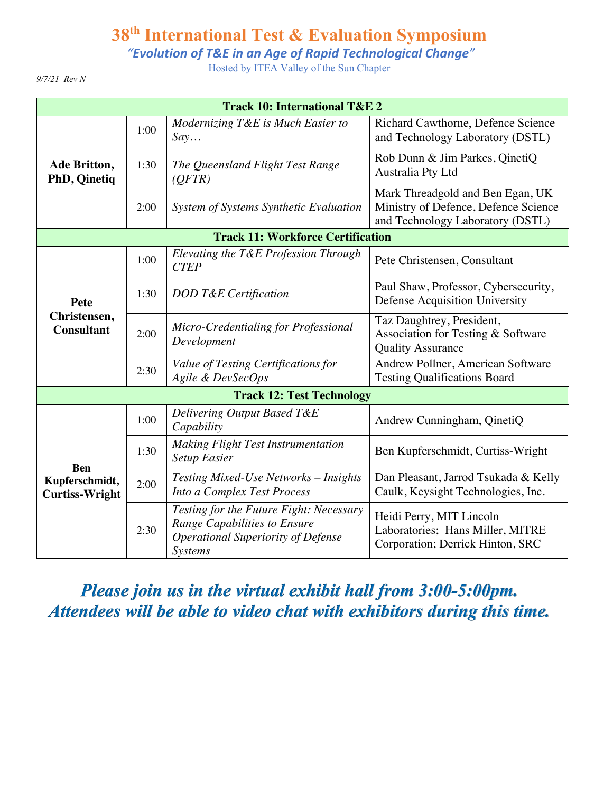*"Evolution of T&E in an Age of Rapid Technological Change"*

Hosted by ITEA Valley of the Sun Chapter

*9/7/21 Rev N*

| <b>Track 10: International T&amp;E 2</b>              |      |                                                                                                                                 |                                                                                                              |  |
|-------------------------------------------------------|------|---------------------------------------------------------------------------------------------------------------------------------|--------------------------------------------------------------------------------------------------------------|--|
| Ade Britton,<br><b>PhD, Qinetiq</b>                   | 1:00 | Modernizing T&E is Much Easier to<br>Say                                                                                        | Richard Cawthorne, Defence Science<br>and Technology Laboratory (DSTL)                                       |  |
|                                                       | 1:30 | The Queensland Flight Test Range<br>(QFTR)                                                                                      | Rob Dunn & Jim Parkes, QinetiQ<br>Australia Pty Ltd                                                          |  |
|                                                       | 2:00 | System of Systems Synthetic Evaluation                                                                                          | Mark Threadgold and Ben Egan, UK<br>Ministry of Defence, Defence Science<br>and Technology Laboratory (DSTL) |  |
| <b>Track 11: Workforce Certification</b>              |      |                                                                                                                                 |                                                                                                              |  |
| Pete<br>Christensen,<br><b>Consultant</b>             | 1:00 | Elevating the T&E Profession Through<br><b>CTEP</b>                                                                             | Pete Christensen, Consultant                                                                                 |  |
|                                                       | 1:30 | DOD T&E Certification                                                                                                           | Paul Shaw, Professor, Cybersecurity,<br>Defense Acquisition University                                       |  |
|                                                       | 2:00 | Micro-Credentialing for Professional<br>Development                                                                             | Taz Daughtrey, President,<br>Association for Testing & Software<br><b>Quality Assurance</b>                  |  |
|                                                       | 2:30 | Value of Testing Certifications for<br>Agile & DevSecOps                                                                        | Andrew Pollner, American Software<br><b>Testing Qualifications Board</b>                                     |  |
|                                                       |      | <b>Track 12: Test Technology</b>                                                                                                |                                                                                                              |  |
| <b>Ben</b><br>Kupferschmidt,<br><b>Curtiss-Wright</b> | 1:00 | Delivering Output Based T&E<br>Capability                                                                                       | Andrew Cunningham, QinetiQ                                                                                   |  |
|                                                       | 1:30 | <b>Making Flight Test Instrumentation</b><br><b>Setup Easier</b>                                                                | Ben Kupferschmidt, Curtiss-Wright                                                                            |  |
|                                                       | 2:00 | <b>Testing Mixed-Use Networks - Insights</b><br>Into a Complex Test Process                                                     | Dan Pleasant, Jarrod Tsukada & Kelly<br>Caulk, Keysight Technologies, Inc.                                   |  |
|                                                       | 2:30 | Testing for the Future Fight: Necessary<br>Range Capabilities to Ensure<br><b>Operational Superiority of Defense</b><br>Systems | Heidi Perry, MIT Lincoln<br>Laboratories; Hans Miller, MITRE<br>Corporation; Derrick Hinton, SRC             |  |

*Please join us in the virtual exhibit hall from 3:00-5:00pm. Attendees will be able to video chat with exhibitors during this time.*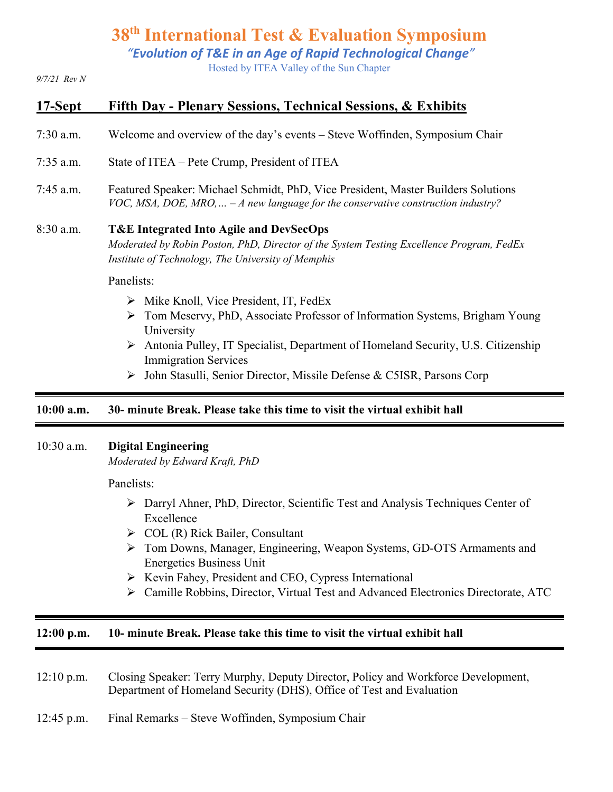*"Evolution of T&E in an Age of Rapid Technological Change"*

Hosted by ITEA Valley of the Sun Chapter

*9/7/21 Rev N*

# **17-Sept Fifth Day - Plenary Sessions, Technical Sessions, & Exhibits**

- 7:30 a.m. Welcome and overview of the day's events Steve Woffinden, Symposium Chair
- 7:35 a.m. State of ITEA Pete Crump, President of ITEA
- 7:45 a.m. Featured Speaker: Michael Schmidt, PhD, Vice President, Master Builders Solutions *VOC, MSA, DOE, MRO,… – A new language for the conservative construction industry?*

#### 8:30 a.m. **T&E Integrated Into Agile and DevSecOps**

*Moderated by Robin Poston, PhD, Director of the System Testing Excellence Program, FedEx Institute of Technology, The University of Memphis*

Panelists:

- $\triangleright$  Mike Knoll, Vice President, IT, FedEx
- Ø Tom Meservy, PhD, Associate Professor of Information Systems, Brigham Young University
- $\triangleright$  Antonia Pulley, IT Specialist, Department of Homeland Security, U.S. Citizenship Immigration Services
- Ø John Stasulli, Senior Director, Missile Defense & C5ISR, Parsons Corp

#### **10:00 a.m. 30- minute Break. Please take this time to visit the virtual exhibit hall**

#### 10:30 a.m. **Digital Engineering**

*Moderated by Edward Kraft, PhD*

Panelists:

- $\triangleright$  Darryl Ahner, PhD, Director, Scientific Test and Analysis Techniques Center of Excellence
- $\triangleright$  COL (R) Rick Bailer, Consultant
- Ø Tom Downs, Manager, Engineering, Weapon Systems, GD-OTS Armaments and Energetics Business Unit
- Ø Kevin Fahey, President and CEO, Cypress International
- Ø Camille Robbins, Director, Virtual Test and Advanced Electronics Directorate, ATC

#### **12:00 p.m. 10- minute Break. Please take this time to visit the virtual exhibit hall**

- 12:10 p.m. Closing Speaker: Terry Murphy, Deputy Director, Policy and Workforce Development, Department of Homeland Security (DHS), Office of Test and Evaluation
- 12:45 p.m. Final Remarks Steve Woffinden, Symposium Chair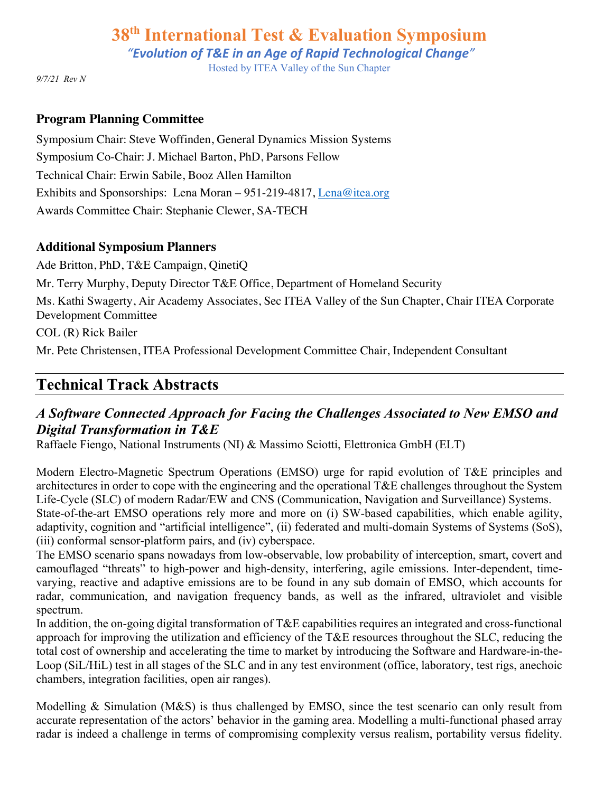*"Evolution of T&E in an Age of Rapid Technological Change"*

Hosted by ITEA Valley of the Sun Chapter

*9/7/21 Rev N*

#### **Program Planning Committee**

Symposium Chair: Steve Woffinden, General Dynamics Mission Systems Symposium Co-Chair: J. Michael Barton, PhD, Parsons Fellow Technical Chair: Erwin Sabile, Booz Allen Hamilton Exhibits and Sponsorships: Lena Moran – 951-219-4817, Lena@itea.org Awards Committee Chair: Stephanie Clewer, SA-TECH

#### **Additional Symposium Planners**

Ade Britton, PhD, T&E Campaign, QinetiQ Mr. Terry Murphy, Deputy Director T&E Office, Department of Homeland Security Ms. Kathi Swagerty, Air Academy Associates, Sec ITEA Valley of the Sun Chapter, Chair ITEA Corporate Development Committee COL (R) Rick Bailer

Mr. Pete Christensen, ITEA Professional Development Committee Chair, Independent Consultant

# **Technical Track Abstracts**

# *A Software Connected Approach for Facing the Challenges Associated to New EMSO and Digital Transformation in T&E*

Raffaele Fiengo, National Instruments (NI) & Massimo Sciotti, Elettronica GmbH (ELT)

Modern Electro-Magnetic Spectrum Operations (EMSO) urge for rapid evolution of T&E principles and architectures in order to cope with the engineering and the operational T&E challenges throughout the System Life-Cycle (SLC) of modern Radar/EW and CNS (Communication, Navigation and Surveillance) Systems. State-of-the-art EMSO operations rely more and more on (i) SW-based capabilities, which enable agility, adaptivity, cognition and "artificial intelligence", (ii) federated and multi-domain Systems of Systems (SoS), (iii) conformal sensor-platform pairs, and (iv) cyberspace.

The EMSO scenario spans nowadays from low-observable, low probability of interception, smart, covert and camouflaged "threats" to high-power and high-density, interfering, agile emissions. Inter-dependent, timevarying, reactive and adaptive emissions are to be found in any sub domain of EMSO, which accounts for radar, communication, and navigation frequency bands, as well as the infrared, ultraviolet and visible spectrum.

In addition, the on-going digital transformation of T&E capabilities requires an integrated and cross-functional approach for improving the utilization and efficiency of the T&E resources throughout the SLC, reducing the total cost of ownership and accelerating the time to market by introducing the Software and Hardware-in-the-Loop (SiL/HiL) test in all stages of the SLC and in any test environment (office, laboratory, test rigs, anechoic chambers, integration facilities, open air ranges).

Modelling & Simulation (M&S) is thus challenged by EMSO, since the test scenario can only result from accurate representation of the actors' behavior in the gaming area. Modelling a multi-functional phased array radar is indeed a challenge in terms of compromising complexity versus realism, portability versus fidelity.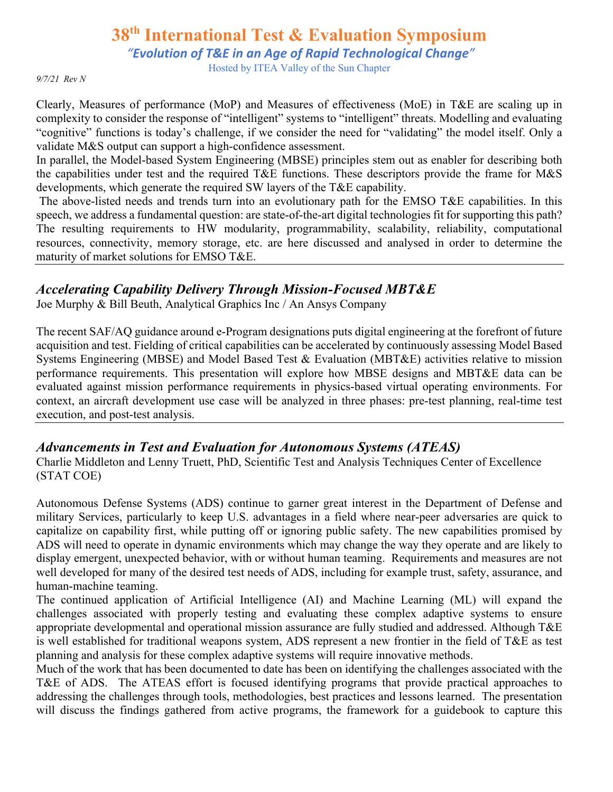*"Evolution of T&E in an Age of Rapid Technological Change"*

Hosted by ITEA Valley of the Sun Chapter

*9/7/21 Rev N*

Clearly, Measures of performance (MoP) and Measures of effectiveness (MoE) in T&E are scaling up in complexity to consider the response of "intelligent" systems to "intelligent" threats. Modelling and evaluating "cognitive" functions is today's challenge, if we consider the need for "validating" the model itself. Only a validate M&S output can support a high-confidence assessment.

In parallel, the Model-based System Engineering (MBSE) principles stem out as enabler for describing both the capabilities under test and the required T&E functions. These descriptors provide the frame for M&S developments, which generate the required SW layers of the T&E capability.

The above-listed needs and trends turn into an evolutionary path for the EMSO T&E capabilities. In this speech, we address a fundamental question: are state-of-the-art digital technologies fit for supporting this path? The resulting requirements to HW modularity, programmability, scalability, reliability, computational resources, connectivity, memory storage, etc. are here discussed and analysed in order to determine the maturity of market solutions for EMSO T&E.

### *Accelerating Capability Delivery Through Mission-Focused MBT&E*

Joe Murphy & Bill Beuth, Analytical Graphics Inc / An Ansys Company

The recent SAF/AQ guidance around e-Program designations puts digital engineering at the forefront of future acquisition and test. Fielding of critical capabilities can be accelerated by continuously assessing Model Based Systems Engineering (MBSE) and Model Based Test & Evaluation (MBT&E) activities relative to mission performance requirements. This presentation will explore how MBSE designs and MBT&E data can be evaluated against mission performance requirements in physics-based virtual operating environments. For context, an aircraft development use case will be analyzed in three phases: pre-test planning, real-time test execution, and post-test analysis.

## *Advancements in Test and Evaluation for Autonomous Systems (ATEAS)*

Charlie Middleton and Lenny Truett, PhD, Scientific Test and Analysis Techniques Center of Excellence (STAT COE)

Autonomous Defense Systems (ADS) continue to garner great interest in the Department of Defense and military Services, particularly to keep U.S. advantages in a field where near-peer adversaries are quick to capitalize on capability first, while putting off or ignoring public safety. The new capabilities promised by ADS will need to operate in dynamic environments which may change the way they operate and are likely to display emergent, unexpected behavior, with or without human teaming. Requirements and measures are not well developed for many of the desired test needs of ADS, including for example trust, safety, assurance, and human-machine teaming.

The continued application of Artificial Intelligence (AI) and Machine Learning (ML) will expand the challenges associated with properly testing and evaluating these complex adaptive systems to ensure appropriate developmental and operational mission assurance are fully studied and addressed. Although T&E is well established for traditional weapons system, ADS represent a new frontier in the field of T&E as test planning and analysis for these complex adaptive systems will require innovative methods.

Much of the work that has been documented to date has been on identifying the challenges associated with the T&E of ADS. The ATEAS effort is focused identifying programs that provide practical approaches to addressing the challenges through tools, methodologies, best practices and lessons learned. The presentation will discuss the findings gathered from active programs, the framework for a guidebook to capture this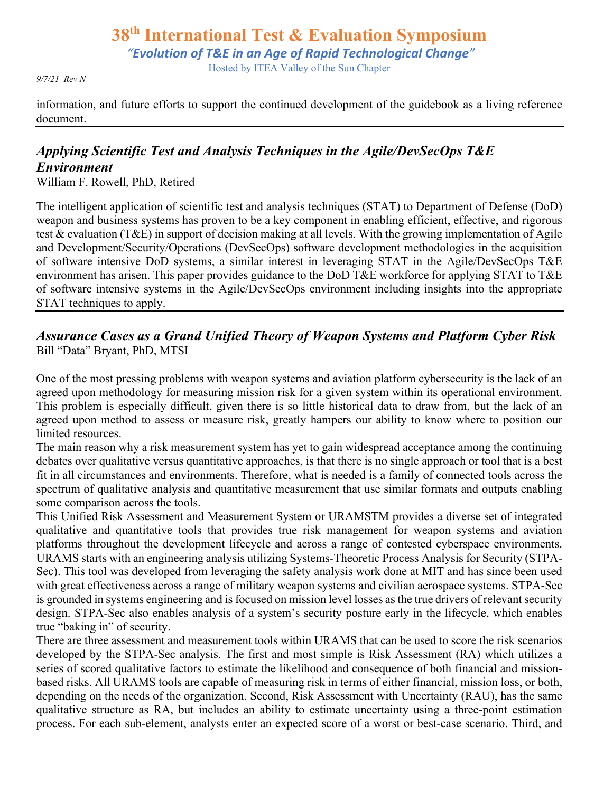# **38th International Test & Evaluation Symposium** *"Evolution of T&E in an Age of Rapid Technological Change"* Hosted by ITEA Valley of the Sun Chapter

*9/7/21 Rev N*

information, and future efforts to support the continued development of the guidebook as a living reference document.

# *Applying Scientific Test and Analysis Techniques in the Agile/DevSecOps T&E Environment*

William F. Rowell, PhD, Retired

The intelligent application of scientific test and analysis techniques (STAT) to Department of Defense (DoD) weapon and business systems has proven to be a key component in enabling efficient, effective, and rigorous test & evaluation (T&E) in support of decision making at all levels. With the growing implementation of Agile and Development/Security/Operations (DevSecOps) software development methodologies in the acquisition of software intensive DoD systems, a similar interest in leveraging STAT in the Agile/DevSecOps T&E environment has arisen. This paper provides guidance to the DoD T&E workforce for applying STAT to T&E of software intensive systems in the Agile/DevSecOps environment including insights into the appropriate STAT techniques to apply.

### *Assurance Cases as a Grand Unified Theory of Weapon Systems and Platform Cyber Risk* Bill "Data" Bryant, PhD, MTSI

One of the most pressing problems with weapon systems and aviation platform cybersecurity is the lack of an agreed upon methodology for measuring mission risk for a given system within its operational environment. This problem is especially difficult, given there is so little historical data to draw from, but the lack of an agreed upon method to assess or measure risk, greatly hampers our ability to know where to position our limited resources.

The main reason why a risk measurement system has yet to gain widespread acceptance among the continuing debates over qualitative versus quantitative approaches, is that there is no single approach or tool that is a best fit in all circumstances and environments. Therefore, what is needed is a family of connected tools across the spectrum of qualitative analysis and quantitative measurement that use similar formats and outputs enabling some comparison across the tools.

This Unified Risk Assessment and Measurement System or URAMSTM provides a diverse set of integrated qualitative and quantitative tools that provides true risk management for weapon systems and aviation platforms throughout the development lifecycle and across a range of contested cyberspace environments. URAMS starts with an engineering analysis utilizing Systems-Theoretic Process Analysis for Security (STPA-Sec). This tool was developed from leveraging the safety analysis work done at MIT and has since been used with great effectiveness across a range of military weapon systems and civilian aerospace systems. STPA-Sec is grounded in systems engineering and is focused on mission level losses as the true drivers of relevant security design. STPA-Sec also enables analysis of a system's security posture early in the lifecycle, which enables true "baking in" of security.

There are three assessment and measurement tools within URAMS that can be used to score the risk scenarios developed by the STPA-Sec analysis. The first and most simple is Risk Assessment (RA) which utilizes a series of scored qualitative factors to estimate the likelihood and consequence of both financial and missionbased risks. All URAMS tools are capable of measuring risk in terms of either financial, mission loss, or both, depending on the needs of the organization. Second, Risk Assessment with Uncertainty (RAU), has the same qualitative structure as RA, but includes an ability to estimate uncertainty using a three-point estimation process. For each sub-element, analysts enter an expected score of a worst or best-case scenario. Third, and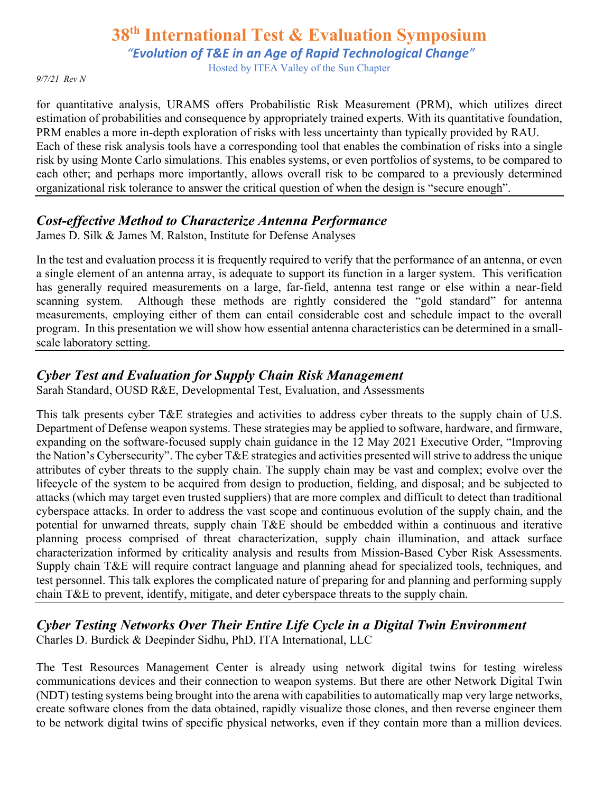*"Evolution of T&E in an Age of Rapid Technological Change"*

Hosted by ITEA Valley of the Sun Chapter

*9/7/21 Rev N*

for quantitative analysis, URAMS offers Probabilistic Risk Measurement (PRM), which utilizes direct estimation of probabilities and consequence by appropriately trained experts. With its quantitative foundation, PRM enables a more in-depth exploration of risks with less uncertainty than typically provided by RAU. Each of these risk analysis tools have a corresponding tool that enables the combination of risks into a single risk by using Monte Carlo simulations. This enables systems, or even portfolios of systems, to be compared to each other; and perhaps more importantly, allows overall risk to be compared to a previously determined organizational risk tolerance to answer the critical question of when the design is "secure enough".

#### *Cost-effective Method to Characterize Antenna Performance*

James D. Silk & James M. Ralston, Institute for Defense Analyses

In the test and evaluation process it is frequently required to verify that the performance of an antenna, or even a single element of an antenna array, is adequate to support its function in a larger system. This verification has generally required measurements on a large, far-field, antenna test range or else within a near-field scanning system. Although these methods are rightly considered the "gold standard" for antenna measurements, employing either of them can entail considerable cost and schedule impact to the overall program. In this presentation we will show how essential antenna characteristics can be determined in a smallscale laboratory setting.

# *Cyber Test and Evaluation for Supply Chain Risk Management*

Sarah Standard, OUSD R&E, Developmental Test, Evaluation, and Assessments

This talk presents cyber T&E strategies and activities to address cyber threats to the supply chain of U.S. Department of Defense weapon systems. These strategies may be applied to software, hardware, and firmware, expanding on the software-focused supply chain guidance in the 12 May 2021 Executive Order, "Improving the Nation's Cybersecurity". The cyber T&E strategies and activities presented will strive to address the unique attributes of cyber threats to the supply chain. The supply chain may be vast and complex; evolve over the lifecycle of the system to be acquired from design to production, fielding, and disposal; and be subjected to attacks (which may target even trusted suppliers) that are more complex and difficult to detect than traditional cyberspace attacks. In order to address the vast scope and continuous evolution of the supply chain, and the potential for unwarned threats, supply chain T&E should be embedded within a continuous and iterative planning process comprised of threat characterization, supply chain illumination, and attack surface characterization informed by criticality analysis and results from Mission-Based Cyber Risk Assessments. Supply chain T&E will require contract language and planning ahead for specialized tools, techniques, and test personnel. This talk explores the complicated nature of preparing for and planning and performing supply chain T&E to prevent, identify, mitigate, and deter cyberspace threats to the supply chain.

*Cyber Testing Networks Over Their Entire Life Cycle in a Digital Twin Environment* Charles D. Burdick & Deepinder Sidhu, PhD, ITA International, LLC

The Test Resources Management Center is already using network digital twins for testing wireless communications devices and their connection to weapon systems. But there are other Network Digital Twin (NDT) testing systems being brought into the arena with capabilities to automatically map very large networks, create software clones from the data obtained, rapidly visualize those clones, and then reverse engineer them to be network digital twins of specific physical networks, even if they contain more than a million devices.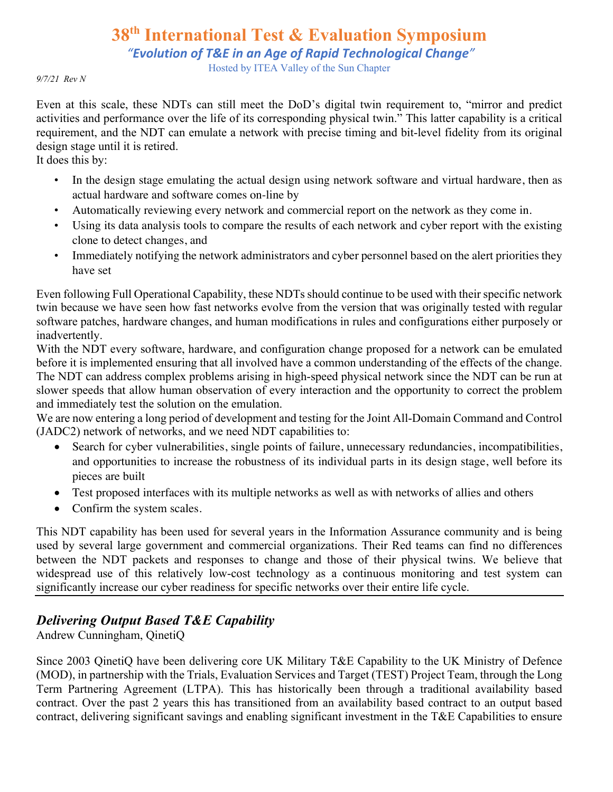*"Evolution of T&E in an Age of Rapid Technological Change"*

Hosted by ITEA Valley of the Sun Chapter

*9/7/21 Rev N*

Even at this scale, these NDTs can still meet the DoD's digital twin requirement to, "mirror and predict activities and performance over the life of its corresponding physical twin." This latter capability is a critical requirement, and the NDT can emulate a network with precise timing and bit-level fidelity from its original design stage until it is retired.

It does this by:

- In the design stage emulating the actual design using network software and virtual hardware, then as actual hardware and software comes on-line by
- Automatically reviewing every network and commercial report on the network as they come in.
- Using its data analysis tools to compare the results of each network and cyber report with the existing clone to detect changes, and
- Immediately notifying the network administrators and cyber personnel based on the alert priorities they have set

Even following Full Operational Capability, these NDTs should continue to be used with their specific network twin because we have seen how fast networks evolve from the version that was originally tested with regular software patches, hardware changes, and human modifications in rules and configurations either purposely or inadvertently.

With the NDT every software, hardware, and configuration change proposed for a network can be emulated before it is implemented ensuring that all involved have a common understanding of the effects of the change. The NDT can address complex problems arising in high-speed physical network since the NDT can be run at slower speeds that allow human observation of every interaction and the opportunity to correct the problem and immediately test the solution on the emulation.

We are now entering a long period of development and testing for the Joint All-Domain Command and Control (JADC2) network of networks, and we need NDT capabilities to:

- Search for cyber vulnerabilities, single points of failure, unnecessary redundancies, incompatibilities, and opportunities to increase the robustness of its individual parts in its design stage, well before its pieces are built
- Test proposed interfaces with its multiple networks as well as with networks of allies and others
- Confirm the system scales.

This NDT capability has been used for several years in the Information Assurance community and is being used by several large government and commercial organizations. Their Red teams can find no differences between the NDT packets and responses to change and those of their physical twins. We believe that widespread use of this relatively low-cost technology as a continuous monitoring and test system can significantly increase our cyber readiness for specific networks over their entire life cycle.

# *Delivering Output Based T&E Capability*

Andrew Cunningham, QinetiQ

Since 2003 QinetiQ have been delivering core UK Military T&E Capability to the UK Ministry of Defence (MOD), in partnership with the Trials, Evaluation Services and Target (TEST) Project Team, through the Long Term Partnering Agreement (LTPA). This has historically been through a traditional availability based contract. Over the past 2 years this has transitioned from an availability based contract to an output based contract, delivering significant savings and enabling significant investment in the T&E Capabilities to ensure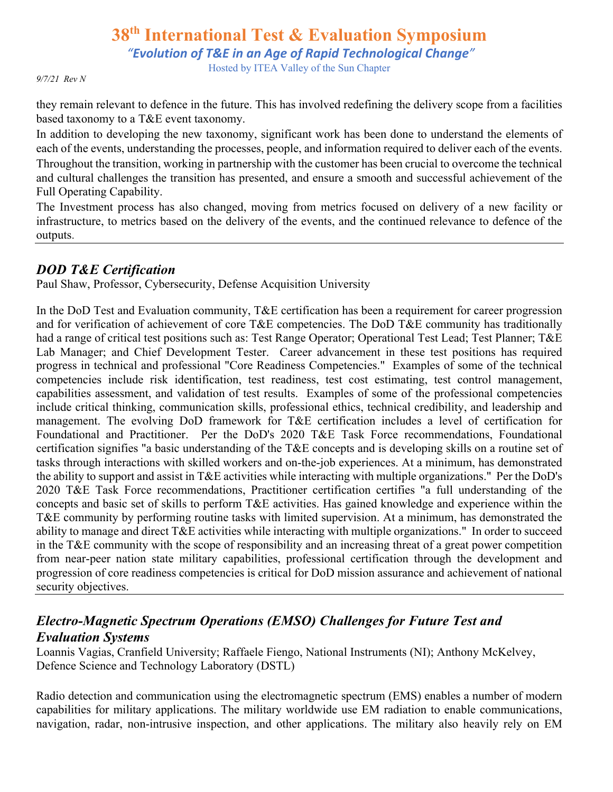*"Evolution of T&E in an Age of Rapid Technological Change"*

Hosted by ITEA Valley of the Sun Chapter

*9/7/21 Rev N*

they remain relevant to defence in the future. This has involved redefining the delivery scope from a facilities based taxonomy to a T&E event taxonomy.

In addition to developing the new taxonomy, significant work has been done to understand the elements of each of the events, understanding the processes, people, and information required to deliver each of the events. Throughout the transition, working in partnership with the customer has been crucial to overcome the technical and cultural challenges the transition has presented, and ensure a smooth and successful achievement of the Full Operating Capability.

The Investment process has also changed, moving from metrics focused on delivery of a new facility or infrastructure, to metrics based on the delivery of the events, and the continued relevance to defence of the outputs.

## *DOD T&E Certification*

Paul Shaw, Professor, Cybersecurity, Defense Acquisition University

In the DoD Test and Evaluation community, T&E certification has been a requirement for career progression and for verification of achievement of core T&E competencies. The DoD T&E community has traditionally had a range of critical test positions such as: Test Range Operator; Operational Test Lead; Test Planner; T&E Lab Manager; and Chief Development Tester. Career advancement in these test positions has required progress in technical and professional "Core Readiness Competencies." Examples of some of the technical competencies include risk identification, test readiness, test cost estimating, test control management, capabilities assessment, and validation of test results. Examples of some of the professional competencies include critical thinking, communication skills, professional ethics, technical credibility, and leadership and management. The evolving DoD framework for T&E certification includes a level of certification for Foundational and Practitioner. Per the DoD's 2020 T&E Task Force recommendations, Foundational certification signifies "a basic understanding of the T&E concepts and is developing skills on a routine set of tasks through interactions with skilled workers and on-the-job experiences. At a minimum, has demonstrated the ability to support and assist in T&E activities while interacting with multiple organizations." Per the DoD's 2020 T&E Task Force recommendations, Practitioner certification certifies "a full understanding of the concepts and basic set of skills to perform T&E activities. Has gained knowledge and experience within the T&E community by performing routine tasks with limited supervision. At a minimum, has demonstrated the ability to manage and direct T&E activities while interacting with multiple organizations." In order to succeed in the T&E community with the scope of responsibility and an increasing threat of a great power competition from near-peer nation state military capabilities, professional certification through the development and progression of core readiness competencies is critical for DoD mission assurance and achievement of national security objectives.

# *Electro-Magnetic Spectrum Operations (EMSO) Challenges for Future Test and Evaluation Systems*

Loannis Vagias, Cranfield University; Raffaele Fiengo, National Instruments (NI); Anthony McKelvey, Defence Science and Technology Laboratory (DSTL)

Radio detection and communication using the electromagnetic spectrum (EMS) enables a number of modern capabilities for military applications. The military worldwide use EM radiation to enable communications, navigation, radar, non-intrusive inspection, and other applications. The military also heavily rely on EM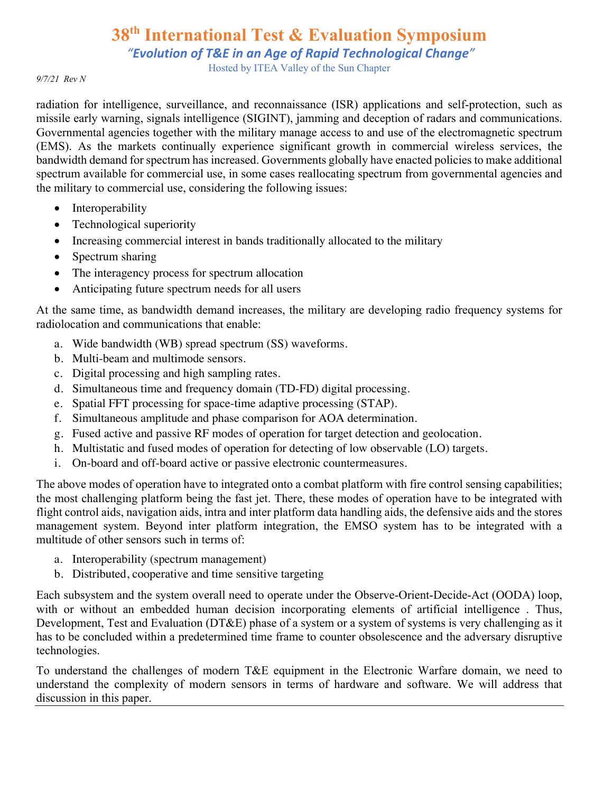*"Evolution of T&E in an Age of Rapid Technological Change"*

Hosted by ITEA Valley of the Sun Chapter

#### *9/7/21 Rev N*

radiation for intelligence, surveillance, and reconnaissance (ISR) applications and self-protection, such as missile early warning, signals intelligence (SIGINT), jamming and deception of radars and communications. Governmental agencies together with the military manage access to and use of the electromagnetic spectrum (EMS). As the markets continually experience significant growth in commercial wireless services, the bandwidth demand for spectrum has increased. Governments globally have enacted policies to make additional spectrum available for commercial use, in some cases reallocating spectrum from governmental agencies and the military to commercial use, considering the following issues:

- Interoperability
- Technological superiority
- Increasing commercial interest in bands traditionally allocated to the military
- Spectrum sharing
- The interagency process for spectrum allocation
- Anticipating future spectrum needs for all users

At the same time, as bandwidth demand increases, the military are developing radio frequency systems for radiolocation and communications that enable:

- a. Wide bandwidth (WB) spread spectrum (SS) waveforms.
- b. Multi-beam and multimode sensors.
- c. Digital processing and high sampling rates.
- d. Simultaneous time and frequency domain (TD-FD) digital processing.
- e. Spatial FFT processing for space-time adaptive processing (STAP).
- f. Simultaneous amplitude and phase comparison for AOA determination.
- g. Fused active and passive RF modes of operation for target detection and geolocation.
- h. Multistatic and fused modes of operation for detecting of low observable (LO) targets.
- i. On-board and off-board active or passive electronic countermeasures.

The above modes of operation have to integrated onto a combat platform with fire control sensing capabilities; the most challenging platform being the fast jet. There, these modes of operation have to be integrated with flight control aids, navigation aids, intra and inter platform data handling aids, the defensive aids and the stores management system. Beyond inter platform integration, the EMSO system has to be integrated with a multitude of other sensors such in terms of:

- a. Interoperability (spectrum management)
- b. Distributed, cooperative and time sensitive targeting

Each subsystem and the system overall need to operate under the Observe-Orient-Decide-Act (OODA) loop, with or without an embedded human decision incorporating elements of artificial intelligence. Thus, Development, Test and Evaluation (DT&E) phase of a system or a system of systems is very challenging as it has to be concluded within a predetermined time frame to counter obsolescence and the adversary disruptive technologies.

To understand the challenges of modern T&E equipment in the Electronic Warfare domain, we need to understand the complexity of modern sensors in terms of hardware and software. We will address that discussion in this paper.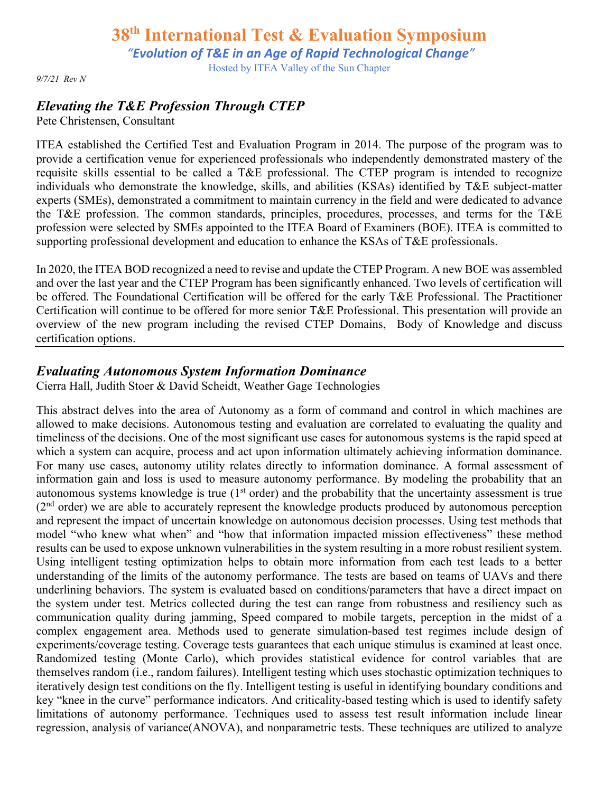*"Evolution of T&E in an Age of Rapid Technological Change"*

Hosted by ITEA Valley of the Sun Chapter

*9/7/21 Rev N*

### *Elevating the T&E Profession Through CTEP*

Pete Christensen, Consultant

ITEA established the Certified Test and Evaluation Program in 2014. The purpose of the program was to provide a certification venue for experienced professionals who independently demonstrated mastery of the requisite skills essential to be called a T&E professional. The CTEP program is intended to recognize individuals who demonstrate the knowledge, skills, and abilities (KSAs) identified by T&E subject-matter experts (SMEs), demonstrated a commitment to maintain currency in the field and were dedicated to advance the T&E profession. The common standards, principles, procedures, processes, and terms for the T&E profession were selected by SMEs appointed to the ITEA Board of Examiners (BOE). ITEA is committed to supporting professional development and education to enhance the KSAs of T&E professionals.

In 2020, the ITEA BOD recognized a need to revise and update the CTEP Program. A new BOE was assembled and over the last year and the CTEP Program has been significantly enhanced. Two levels of certification will be offered. The Foundational Certification will be offered for the early T&E Professional. The Practitioner Certification will continue to be offered for more senior T&E Professional. This presentation will provide an overview of the new program including the revised CTEP Domains, Body of Knowledge and discuss certification options.

#### *Evaluating Autonomous System Information Dominance*

Cierra Hall, Judith Stoer & David Scheidt, Weather Gage Technologies

This abstract delves into the area of Autonomy as a form of command and control in which machines are allowed to make decisions. Autonomous testing and evaluation are correlated to evaluating the quality and timeliness of the decisions. One of the most significant use cases for autonomous systems is the rapid speed at which a system can acquire, process and act upon information ultimately achieving information dominance. For many use cases, autonomy utility relates directly to information dominance. A formal assessment of information gain and loss is used to measure autonomy performance. By modeling the probability that an autonomous systems knowledge is true  $(1<sup>st</sup> order)$  and the probability that the uncertainty assessment is true  $(2<sup>nd</sup> order)$  we are able to accurately represent the knowledge products produced by autonomous perception and represent the impact of uncertain knowledge on autonomous decision processes. Using test methods that model "who knew what when" and "how that information impacted mission effectiveness" these method results can be used to expose unknown vulnerabilities in the system resulting in a more robust resilient system. Using intelligent testing optimization helps to obtain more information from each test leads to a better understanding of the limits of the autonomy performance. The tests are based on teams of UAVs and there underlining behaviors. The system is evaluated based on conditions/parameters that have a direct impact on the system under test. Metrics collected during the test can range from robustness and resiliency such as communication quality during jamming, Speed compared to mobile targets, perception in the midst of a complex engagement area. Methods used to generate simulation-based test regimes include design of experiments/coverage testing. Coverage tests guarantees that each unique stimulus is examined at least once. Randomized testing (Monte Carlo), which provides statistical evidence for control variables that are themselves random (i.e., random failures). Intelligent testing which uses stochastic optimization techniques to iteratively design test conditions on the fly. Intelligent testing is useful in identifying boundary conditions and key "knee in the curve" performance indicators. And criticality-based testing which is used to identify safety limitations of autonomy performance. Techniques used to assess test result information include linear regression, analysis of variance(ANOVA), and nonparametric tests. These techniques are utilized to analyze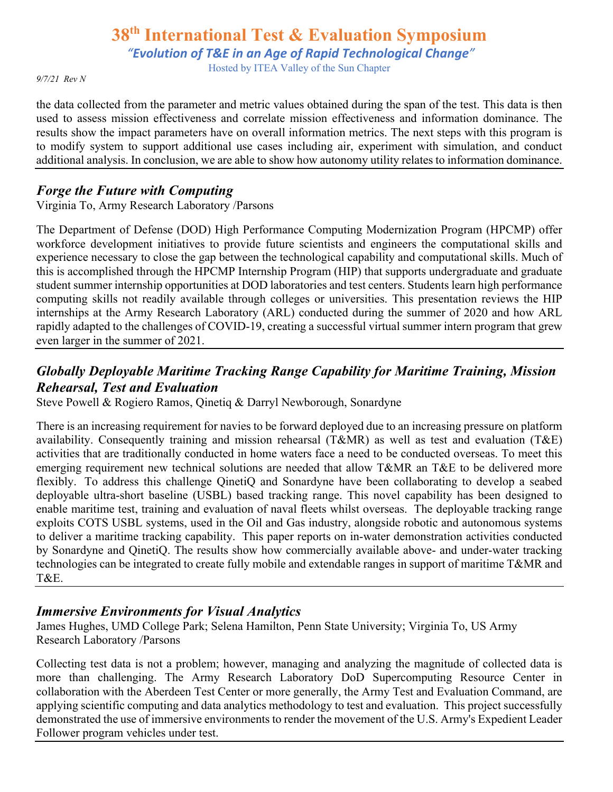*"Evolution of T&E in an Age of Rapid Technological Change"*

Hosted by ITEA Valley of the Sun Chapter

*9/7/21 Rev N*

the data collected from the parameter and metric values obtained during the span of the test. This data is then used to assess mission effectiveness and correlate mission effectiveness and information dominance. The results show the impact parameters have on overall information metrics. The next steps with this program is to modify system to support additional use cases including air, experiment with simulation, and conduct additional analysis. In conclusion, we are able to show how autonomy utility relates to information dominance.

## *Forge the Future with Computing*

Virginia To, Army Research Laboratory /Parsons

The Department of Defense (DOD) High Performance Computing Modernization Program (HPCMP) offer workforce development initiatives to provide future scientists and engineers the computational skills and experience necessary to close the gap between the technological capability and computational skills. Much of this is accomplished through the HPCMP Internship Program (HIP) that supports undergraduate and graduate student summer internship opportunities at DOD laboratories and test centers. Students learn high performance computing skills not readily available through colleges or universities. This presentation reviews the HIP internships at the Army Research Laboratory (ARL) conducted during the summer of 2020 and how ARL rapidly adapted to the challenges of COVID-19, creating a successful virtual summer intern program that grew even larger in the summer of 2021.

# *Globally Deployable Maritime Tracking Range Capability for Maritime Training, Mission Rehearsal, Test and Evaluation*

Steve Powell & Rogiero Ramos, Qinetiq & Darryl Newborough, Sonardyne

There is an increasing requirement for navies to be forward deployed due to an increasing pressure on platform availability. Consequently training and mission rehearsal (T&MR) as well as test and evaluation (T&E) activities that are traditionally conducted in home waters face a need to be conducted overseas. To meet this emerging requirement new technical solutions are needed that allow T&MR an T&E to be delivered more flexibly. To address this challenge QinetiQ and Sonardyne have been collaborating to develop a seabed deployable ultra-short baseline (USBL) based tracking range. This novel capability has been designed to enable maritime test, training and evaluation of naval fleets whilst overseas. The deployable tracking range exploits COTS USBL systems, used in the Oil and Gas industry, alongside robotic and autonomous systems to deliver a maritime tracking capability. This paper reports on in-water demonstration activities conducted by Sonardyne and QinetiQ. The results show how commercially available above- and under-water tracking technologies can be integrated to create fully mobile and extendable ranges in support of maritime T&MR and T&E.

#### *Immersive Environments for Visual Analytics*

James Hughes, UMD College Park; Selena Hamilton, Penn State University; Virginia To, US Army Research Laboratory /Parsons

Collecting test data is not a problem; however, managing and analyzing the magnitude of collected data is more than challenging. The Army Research Laboratory DoD Supercomputing Resource Center in collaboration with the Aberdeen Test Center or more generally, the Army Test and Evaluation Command, are applying scientific computing and data analytics methodology to test and evaluation. This project successfully demonstrated the use of immersive environments to render the movement of the U.S. Army's Expedient Leader Follower program vehicles under test.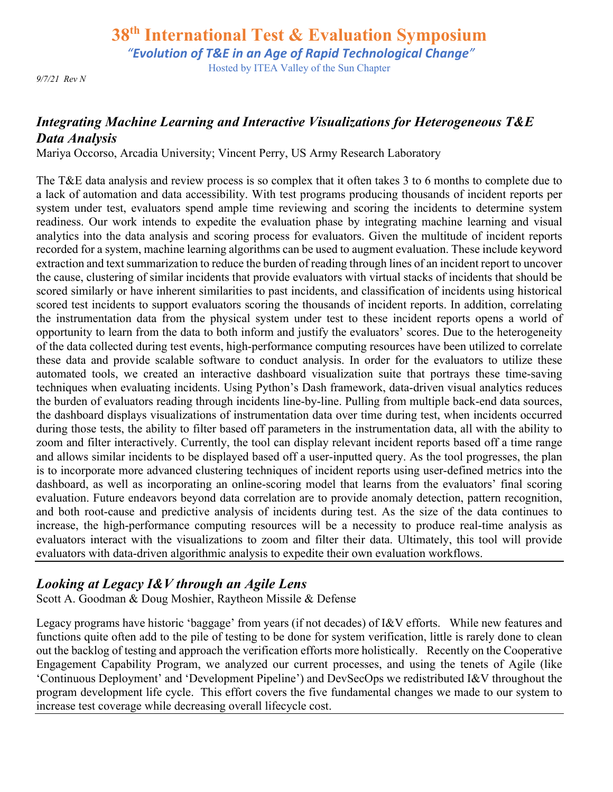*"Evolution of T&E in an Age of Rapid Technological Change"*

Hosted by ITEA Valley of the Sun Chapter

*9/7/21 Rev N*

### *Integrating Machine Learning and Interactive Visualizations for Heterogeneous T&E Data Analysis*

Mariya Occorso, Arcadia University; Vincent Perry, US Army Research Laboratory

The T&E data analysis and review process is so complex that it often takes 3 to 6 months to complete due to a lack of automation and data accessibility. With test programs producing thousands of incident reports per system under test, evaluators spend ample time reviewing and scoring the incidents to determine system readiness. Our work intends to expedite the evaluation phase by integrating machine learning and visual analytics into the data analysis and scoring process for evaluators. Given the multitude of incident reports recorded for a system, machine learning algorithms can be used to augment evaluation. These include keyword extraction and text summarization to reduce the burden of reading through lines of an incident report to uncover the cause, clustering of similar incidents that provide evaluators with virtual stacks of incidents that should be scored similarly or have inherent similarities to past incidents, and classification of incidents using historical scored test incidents to support evaluators scoring the thousands of incident reports. In addition, correlating the instrumentation data from the physical system under test to these incident reports opens a world of opportunity to learn from the data to both inform and justify the evaluators' scores. Due to the heterogeneity of the data collected during test events, high-performance computing resources have been utilized to correlate these data and provide scalable software to conduct analysis. In order for the evaluators to utilize these automated tools, we created an interactive dashboard visualization suite that portrays these time-saving techniques when evaluating incidents. Using Python's Dash framework, data-driven visual analytics reduces the burden of evaluators reading through incidents line-by-line. Pulling from multiple back-end data sources, the dashboard displays visualizations of instrumentation data over time during test, when incidents occurred during those tests, the ability to filter based off parameters in the instrumentation data, all with the ability to zoom and filter interactively. Currently, the tool can display relevant incident reports based off a time range and allows similar incidents to be displayed based off a user-inputted query. As the tool progresses, the plan is to incorporate more advanced clustering techniques of incident reports using user-defined metrics into the dashboard, as well as incorporating an online-scoring model that learns from the evaluators' final scoring evaluation. Future endeavors beyond data correlation are to provide anomaly detection, pattern recognition, and both root-cause and predictive analysis of incidents during test. As the size of the data continues to increase, the high-performance computing resources will be a necessity to produce real-time analysis as evaluators interact with the visualizations to zoom and filter their data. Ultimately, this tool will provide evaluators with data-driven algorithmic analysis to expedite their own evaluation workflows.

## *Looking at Legacy I&V through an Agile Lens*

Scott A. Goodman & Doug Moshier, Raytheon Missile & Defense

Legacy programs have historic 'baggage' from years (if not decades) of I&V efforts. While new features and functions quite often add to the pile of testing to be done for system verification, little is rarely done to clean out the backlog of testing and approach the verification efforts more holistically. Recently on the Cooperative Engagement Capability Program, we analyzed our current processes, and using the tenets of Agile (like 'Continuous Deployment' and 'Development Pipeline') and DevSecOps we redistributed I&V throughout the program development life cycle. This effort covers the five fundamental changes we made to our system to increase test coverage while decreasing overall lifecycle cost.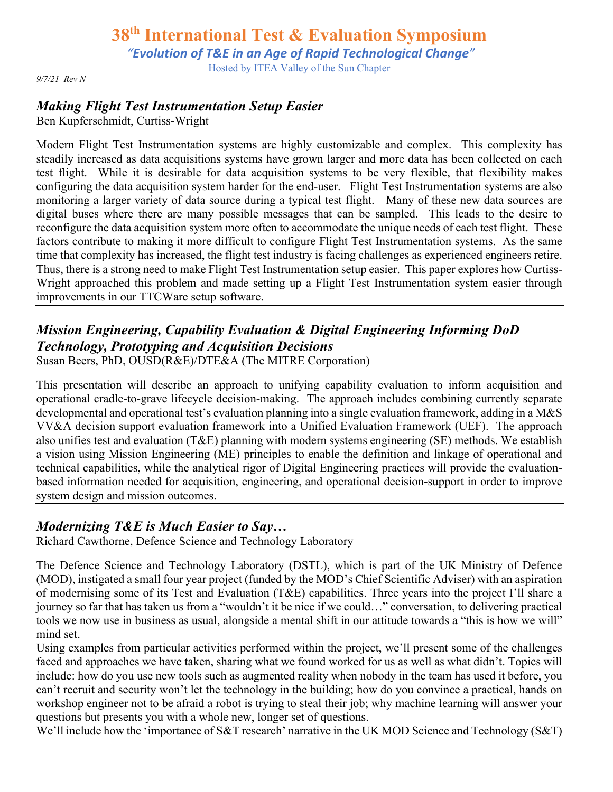*"Evolution of T&E in an Age of Rapid Technological Change"*

Hosted by ITEA Valley of the Sun Chapter

*9/7/21 Rev N*

# *Making Flight Test Instrumentation Setup Easier*

Ben Kupferschmidt, Curtiss-Wright

Modern Flight Test Instrumentation systems are highly customizable and complex. This complexity has steadily increased as data acquisitions systems have grown larger and more data has been collected on each test flight. While it is desirable for data acquisition systems to be very flexible, that flexibility makes configuring the data acquisition system harder for the end-user. Flight Test Instrumentation systems are also monitoring a larger variety of data source during a typical test flight. Many of these new data sources are digital buses where there are many possible messages that can be sampled. This leads to the desire to reconfigure the data acquisition system more often to accommodate the unique needs of each test flight. These factors contribute to making it more difficult to configure Flight Test Instrumentation systems. As the same time that complexity has increased, the flight test industry is facing challenges as experienced engineers retire. Thus, there is a strong need to make Flight Test Instrumentation setup easier. This paper explores how Curtiss-Wright approached this problem and made setting up a Flight Test Instrumentation system easier through improvements in our TTCWare setup software.

# *Mission Engineering, Capability Evaluation & Digital Engineering Informing DoD Technology, Prototyping and Acquisition Decisions*

Susan Beers, PhD, OUSD(R&E)/DTE&A (The MITRE Corporation)

This presentation will describe an approach to unifying capability evaluation to inform acquisition and operational cradle-to-grave lifecycle decision-making. The approach includes combining currently separate developmental and operational test's evaluation planning into a single evaluation framework, adding in a M&S VV&A decision support evaluation framework into a Unified Evaluation Framework (UEF). The approach also unifies test and evaluation (T&E) planning with modern systems engineering (SE) methods. We establish a vision using Mission Engineering (ME) principles to enable the definition and linkage of operational and technical capabilities, while the analytical rigor of Digital Engineering practices will provide the evaluationbased information needed for acquisition, engineering, and operational decision-support in order to improve system design and mission outcomes.

## *Modernizing T&E is Much Easier to Say…*

Richard Cawthorne, Defence Science and Technology Laboratory

The Defence Science and Technology Laboratory (DSTL), which is part of the UK Ministry of Defence (MOD), instigated a small four year project (funded by the MOD's Chief Scientific Adviser) with an aspiration of modernising some of its Test and Evaluation (T&E) capabilities. Three years into the project I'll share a journey so far that has taken us from a "wouldn't it be nice if we could…" conversation, to delivering practical tools we now use in business as usual, alongside a mental shift in our attitude towards a "this is how we will" mind set.

Using examples from particular activities performed within the project, we'll present some of the challenges faced and approaches we have taken, sharing what we found worked for us as well as what didn't. Topics will include: how do you use new tools such as augmented reality when nobody in the team has used it before, you can't recruit and security won't let the technology in the building; how do you convince a practical, hands on workshop engineer not to be afraid a robot is trying to steal their job; why machine learning will answer your questions but presents you with a whole new, longer set of questions.

We'll include how the 'importance of S&T research' narrative in the UK MOD Science and Technology (S&T)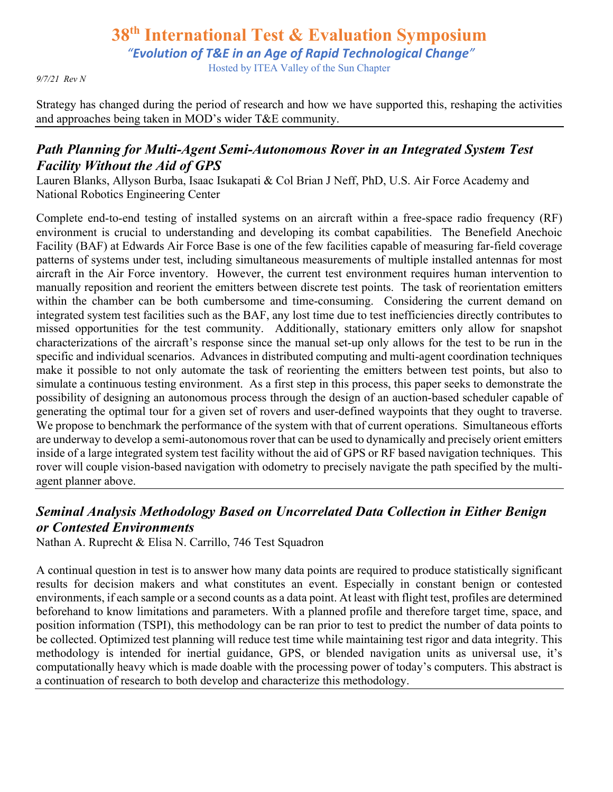*"Evolution of T&E in an Age of Rapid Technological Change"*

Hosted by ITEA Valley of the Sun Chapter

*9/7/21 Rev N*

Strategy has changed during the period of research and how we have supported this, reshaping the activities and approaches being taken in MOD's wider T&E community.

## *Path Planning for Multi-Agent Semi-Autonomous Rover in an Integrated System Test Facility Without the Aid of GPS*

Lauren Blanks, Allyson Burba, Isaac Isukapati & Col Brian J Neff, PhD, U.S. Air Force Academy and National Robotics Engineering Center

Complete end-to-end testing of installed systems on an aircraft within a free-space radio frequency (RF) environment is crucial to understanding and developing its combat capabilities. The Benefield Anechoic Facility (BAF) at Edwards Air Force Base is one of the few facilities capable of measuring far-field coverage patterns of systems under test, including simultaneous measurements of multiple installed antennas for most aircraft in the Air Force inventory. However, the current test environment requires human intervention to manually reposition and reorient the emitters between discrete test points. The task of reorientation emitters within the chamber can be both cumbersome and time-consuming. Considering the current demand on integrated system test facilities such as the BAF, any lost time due to test inefficiencies directly contributes to missed opportunities for the test community. Additionally, stationary emitters only allow for snapshot characterizations of the aircraft's response since the manual set-up only allows for the test to be run in the specific and individual scenarios. Advances in distributed computing and multi-agent coordination techniques make it possible to not only automate the task of reorienting the emitters between test points, but also to simulate a continuous testing environment. As a first step in this process, this paper seeks to demonstrate the possibility of designing an autonomous process through the design of an auction-based scheduler capable of generating the optimal tour for a given set of rovers and user-defined waypoints that they ought to traverse. We propose to benchmark the performance of the system with that of current operations. Simultaneous efforts are underway to develop a semi-autonomous rover that can be used to dynamically and precisely orient emitters inside of a large integrated system test facility without the aid of GPS or RF based navigation techniques. This rover will couple vision-based navigation with odometry to precisely navigate the path specified by the multiagent planner above.

# *Seminal Analysis Methodology Based on Uncorrelated Data Collection in Either Benign or Contested Environments*

Nathan A. Ruprecht & Elisa N. Carrillo, 746 Test Squadron

A continual question in test is to answer how many data points are required to produce statistically significant results for decision makers and what constitutes an event. Especially in constant benign or contested environments, if each sample or a second counts as a data point. At least with flight test, profiles are determined beforehand to know limitations and parameters. With a planned profile and therefore target time, space, and position information (TSPI), this methodology can be ran prior to test to predict the number of data points to be collected. Optimized test planning will reduce test time while maintaining test rigor and data integrity. This methodology is intended for inertial guidance, GPS, or blended navigation units as universal use, it's computationally heavy which is made doable with the processing power of today's computers. This abstract is a continuation of research to both develop and characterize this methodology.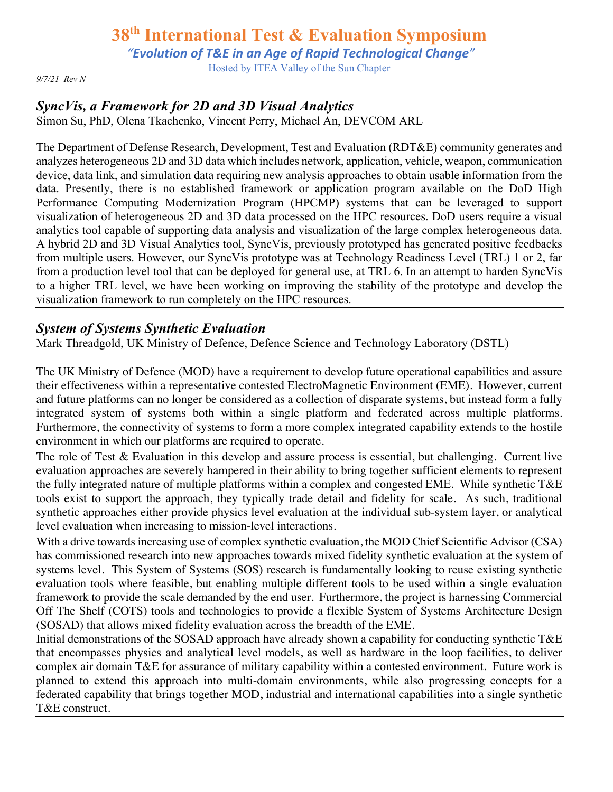*"Evolution of T&E in an Age of Rapid Technological Change"*

Hosted by ITEA Valley of the Sun Chapter

*9/7/21 Rev N*

# *SyncVis, a Framework for 2D and 3D Visual Analytics*

Simon Su, PhD, Olena Tkachenko, Vincent Perry, Michael An, DEVCOM ARL

The Department of Defense Research, Development, Test and Evaluation (RDT&E) community generates and analyzes heterogeneous 2D and 3D data which includes network, application, vehicle, weapon, communication device, data link, and simulation data requiring new analysis approaches to obtain usable information from the data. Presently, there is no established framework or application program available on the DoD High Performance Computing Modernization Program (HPCMP) systems that can be leveraged to support visualization of heterogeneous 2D and 3D data processed on the HPC resources. DoD users require a visual analytics tool capable of supporting data analysis and visualization of the large complex heterogeneous data. A hybrid 2D and 3D Visual Analytics tool, SyncVis, previously prototyped has generated positive feedbacks from multiple users. However, our SyncVis prototype was at Technology Readiness Level (TRL) 1 or 2, far from a production level tool that can be deployed for general use, at TRL 6. In an attempt to harden SyncVis to a higher TRL level, we have been working on improving the stability of the prototype and develop the visualization framework to run completely on the HPC resources.

#### *System of Systems Synthetic Evaluation*

Mark Threadgold, UK Ministry of Defence, Defence Science and Technology Laboratory (DSTL)

The UK Ministry of Defence (MOD) have a requirement to develop future operational capabilities and assure their effectiveness within a representative contested ElectroMagnetic Environment (EME). However, current and future platforms can no longer be considered as a collection of disparate systems, but instead form a fully integrated system of systems both within a single platform and federated across multiple platforms. Furthermore, the connectivity of systems to form a more complex integrated capability extends to the hostile environment in which our platforms are required to operate.

The role of Test & Evaluation in this develop and assure process is essential, but challenging. Current live evaluation approaches are severely hampered in their ability to bring together sufficient elements to represent the fully integrated nature of multiple platforms within a complex and congested EME. While synthetic T&E tools exist to support the approach, they typically trade detail and fidelity for scale. As such, traditional synthetic approaches either provide physics level evaluation at the individual sub-system layer, or analytical level evaluation when increasing to mission-level interactions.

With a drive towards increasing use of complex synthetic evaluation, the MOD Chief Scientific Advisor (CSA) has commissioned research into new approaches towards mixed fidelity synthetic evaluation at the system of systems level. This System of Systems (SOS) research is fundamentally looking to reuse existing synthetic evaluation tools where feasible, but enabling multiple different tools to be used within a single evaluation framework to provide the scale demanded by the end user. Furthermore, the project is harnessing Commercial Off The Shelf (COTS) tools and technologies to provide a flexible System of Systems Architecture Design (SOSAD) that allows mixed fidelity evaluation across the breadth of the EME.

Initial demonstrations of the SOSAD approach have already shown a capability for conducting synthetic T&E that encompasses physics and analytical level models, as well as hardware in the loop facilities, to deliver complex air domain T&E for assurance of military capability within a contested environment. Future work is planned to extend this approach into multi-domain environments, while also progressing concepts for a federated capability that brings together MOD, industrial and international capabilities into a single synthetic T&E construct.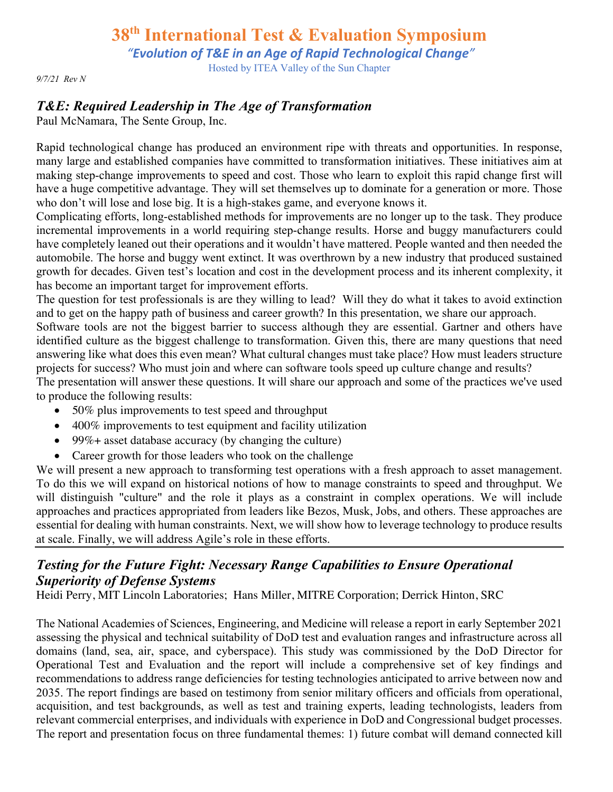*"Evolution of T&E in an Age of Rapid Technological Change"*

Hosted by ITEA Valley of the Sun Chapter

*9/7/21 Rev N*

# *T&E: Required Leadership in The Age of Transformation*

Paul McNamara, The Sente Group, Inc.

Rapid technological change has produced an environment ripe with threats and opportunities. In response, many large and established companies have committed to transformation initiatives. These initiatives aim at making step-change improvements to speed and cost. Those who learn to exploit this rapid change first will have a huge competitive advantage. They will set themselves up to dominate for a generation or more. Those who don't will lose and lose big. It is a high-stakes game, and everyone knows it.

Complicating efforts, long-established methods for improvements are no longer up to the task. They produce incremental improvements in a world requiring step-change results. Horse and buggy manufacturers could have completely leaned out their operations and it wouldn't have mattered. People wanted and then needed the automobile. The horse and buggy went extinct. It was overthrown by a new industry that produced sustained growth for decades. Given test's location and cost in the development process and its inherent complexity, it has become an important target for improvement efforts.

The question for test professionals is are they willing to lead? Will they do what it takes to avoid extinction and to get on the happy path of business and career growth? In this presentation, we share our approach.

Software tools are not the biggest barrier to success although they are essential. Gartner and others have identified culture as the biggest challenge to transformation. Given this, there are many questions that need answering like what does this even mean? What cultural changes must take place? How must leaders structure projects for success? Who must join and where can software tools speed up culture change and results? The presentation will answer these questions. It will share our approach and some of the practices we've used to produce the following results:

- 50% plus improvements to test speed and throughput
- 400% improvements to test equipment and facility utilization
- 99%+ asset database accuracy (by changing the culture)
- Career growth for those leaders who took on the challenge

We will present a new approach to transforming test operations with a fresh approach to asset management. To do this we will expand on historical notions of how to manage constraints to speed and throughput. We will distinguish "culture" and the role it plays as a constraint in complex operations. We will include approaches and practices appropriated from leaders like Bezos, Musk, Jobs, and others. These approaches are essential for dealing with human constraints. Next, we will show how to leverage technology to produce results at scale. Finally, we will address Agile's role in these efforts.

# *Testing for the Future Fight: Necessary Range Capabilities to Ensure Operational Superiority of Defense Systems*

Heidi Perry, MIT Lincoln Laboratories; Hans Miller, MITRE Corporation; Derrick Hinton, SRC

The National Academies of Sciences, Engineering, and Medicine will release a report in early September 2021 assessing the physical and technical suitability of DoD test and evaluation ranges and infrastructure across all domains (land, sea, air, space, and cyberspace). This study was commissioned by the DoD Director for Operational Test and Evaluation and the report will include a comprehensive set of key findings and recommendations to address range deficiencies for testing technologies anticipated to arrive between now and 2035. The report findings are based on testimony from senior military officers and officials from operational, acquisition, and test backgrounds, as well as test and training experts, leading technologists, leaders from relevant commercial enterprises, and individuals with experience in DoD and Congressional budget processes. The report and presentation focus on three fundamental themes: 1) future combat will demand connected kill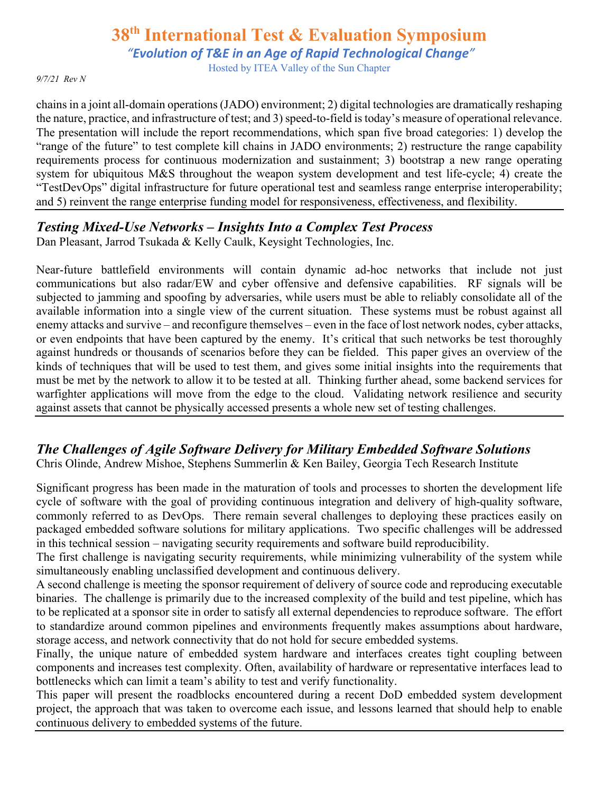*"Evolution of T&E in an Age of Rapid Technological Change"*

Hosted by ITEA Valley of the Sun Chapter

*9/7/21 Rev N*

chains in a joint all-domain operations (JADO) environment; 2) digital technologies are dramatically reshaping the nature, practice, and infrastructure of test; and 3) speed-to-field is today's measure of operational relevance. The presentation will include the report recommendations, which span five broad categories: 1) develop the "range of the future" to test complete kill chains in JADO environments; 2) restructure the range capability requirements process for continuous modernization and sustainment; 3) bootstrap a new range operating system for ubiquitous M&S throughout the weapon system development and test life-cycle; 4) create the "TestDevOps" digital infrastructure for future operational test and seamless range enterprise interoperability; and 5) reinvent the range enterprise funding model for responsiveness, effectiveness, and flexibility.

## *Testing Mixed-Use Networks – Insights Into a Complex Test Process*

Dan Pleasant, Jarrod Tsukada & Kelly Caulk, Keysight Technologies, Inc.

Near-future battlefield environments will contain dynamic ad-hoc networks that include not just communications but also radar/EW and cyber offensive and defensive capabilities. RF signals will be subjected to jamming and spoofing by adversaries, while users must be able to reliably consolidate all of the available information into a single view of the current situation. These systems must be robust against all enemy attacks and survive – and reconfigure themselves – even in the face of lost network nodes, cyber attacks, or even endpoints that have been captured by the enemy. It's critical that such networks be test thoroughly against hundreds or thousands of scenarios before they can be fielded. This paper gives an overview of the kinds of techniques that will be used to test them, and gives some initial insights into the requirements that must be met by the network to allow it to be tested at all. Thinking further ahead, some backend services for warfighter applications will move from the edge to the cloud. Validating network resilience and security against assets that cannot be physically accessed presents a whole new set of testing challenges.

# *The Challenges of Agile Software Delivery for Military Embedded Software Solutions*

Chris Olinde, Andrew Mishoe, Stephens Summerlin & Ken Bailey, Georgia Tech Research Institute

Significant progress has been made in the maturation of tools and processes to shorten the development life cycle of software with the goal of providing continuous integration and delivery of high-quality software, commonly referred to as DevOps. There remain several challenges to deploying these practices easily on packaged embedded software solutions for military applications. Two specific challenges will be addressed in this technical session – navigating security requirements and software build reproducibility.

The first challenge is navigating security requirements, while minimizing vulnerability of the system while simultaneously enabling unclassified development and continuous delivery.

A second challenge is meeting the sponsor requirement of delivery of source code and reproducing executable binaries. The challenge is primarily due to the increased complexity of the build and test pipeline, which has to be replicated at a sponsor site in order to satisfy all external dependencies to reproduce software. The effort to standardize around common pipelines and environments frequently makes assumptions about hardware, storage access, and network connectivity that do not hold for secure embedded systems.

Finally, the unique nature of embedded system hardware and interfaces creates tight coupling between components and increases test complexity. Often, availability of hardware or representative interfaces lead to bottlenecks which can limit a team's ability to test and verify functionality.

This paper will present the roadblocks encountered during a recent DoD embedded system development project, the approach that was taken to overcome each issue, and lessons learned that should help to enable continuous delivery to embedded systems of the future.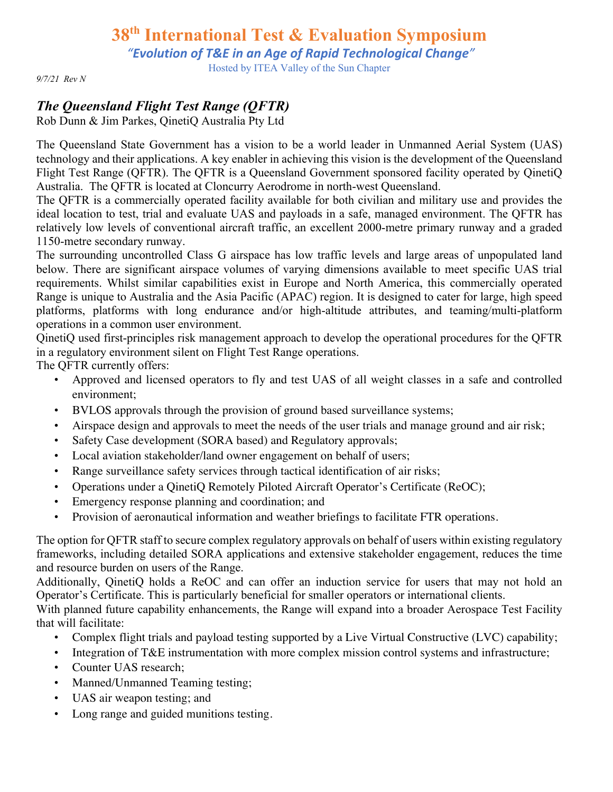*"Evolution of T&E in an Age of Rapid Technological Change"*

Hosted by ITEA Valley of the Sun Chapter

*9/7/21 Rev N*

# *The Queensland Flight Test Range (QFTR)*

Rob Dunn & Jim Parkes, QinetiQ Australia Pty Ltd

The Queensland State Government has a vision to be a world leader in Unmanned Aerial System (UAS) technology and their applications. A key enabler in achieving this vision is the development of the Queensland Flight Test Range (QFTR). The QFTR is a Queensland Government sponsored facility operated by QinetiQ Australia. The QFTR is located at Cloncurry Aerodrome in north-west Queensland.

The QFTR is a commercially operated facility available for both civilian and military use and provides the ideal location to test, trial and evaluate UAS and payloads in a safe, managed environment. The QFTR has relatively low levels of conventional aircraft traffic, an excellent 2000-metre primary runway and a graded 1150-metre secondary runway.

The surrounding uncontrolled Class G airspace has low traffic levels and large areas of unpopulated land below. There are significant airspace volumes of varying dimensions available to meet specific UAS trial requirements. Whilst similar capabilities exist in Europe and North America, this commercially operated Range is unique to Australia and the Asia Pacific (APAC) region. It is designed to cater for large, high speed platforms, platforms with long endurance and/or high-altitude attributes, and teaming/multi-platform operations in a common user environment.

QinetiQ used first-principles risk management approach to develop the operational procedures for the QFTR in a regulatory environment silent on Flight Test Range operations.

The QFTR currently offers:

- Approved and licensed operators to fly and test UAS of all weight classes in a safe and controlled environment;
- BVLOS approvals through the provision of ground based surveillance systems;
- Airspace design and approvals to meet the needs of the user trials and manage ground and air risk;
- Safety Case development (SORA based) and Regulatory approvals;
- Local aviation stakeholder/land owner engagement on behalf of users;
- Range surveillance safety services through tactical identification of air risks;
- Operations under a QinetiQ Remotely Piloted Aircraft Operator's Certificate (ReOC);
- Emergency response planning and coordination; and
- Provision of aeronautical information and weather briefings to facilitate FTR operations.

The option for QFTR staff to secure complex regulatory approvals on behalf of users within existing regulatory frameworks, including detailed SORA applications and extensive stakeholder engagement, reduces the time and resource burden on users of the Range.

Additionally, QinetiQ holds a ReOC and can offer an induction service for users that may not hold an Operator's Certificate. This is particularly beneficial for smaller operators or international clients.

With planned future capability enhancements, the Range will expand into a broader Aerospace Test Facility that will facilitate:

- Complex flight trials and payload testing supported by a Live Virtual Constructive (LVC) capability;
- Integration of T&E instrumentation with more complex mission control systems and infrastructure;
- Counter UAS research;
- Manned/Unmanned Teaming testing;
- UAS air weapon testing; and
- Long range and guided munitions testing.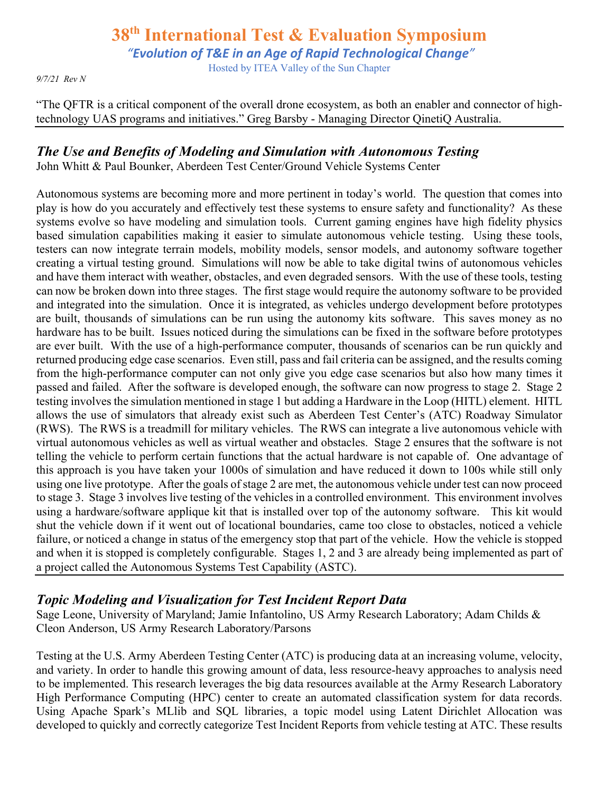*"Evolution of T&E in an Age of Rapid Technological Change"*

Hosted by ITEA Valley of the Sun Chapter

*9/7/21 Rev N*

"The QFTR is a critical component of the overall drone ecosystem, as both an enabler and connector of hightechnology UAS programs and initiatives." Greg Barsby - Managing Director QinetiQ Australia.

#### *The Use and Benefits of Modeling and Simulation with Autonomous Testing*

John Whitt & Paul Bounker, Aberdeen Test Center/Ground Vehicle Systems Center

Autonomous systems are becoming more and more pertinent in today's world. The question that comes into play is how do you accurately and effectively test these systems to ensure safety and functionality? As these systems evolve so have modeling and simulation tools. Current gaming engines have high fidelity physics based simulation capabilities making it easier to simulate autonomous vehicle testing. Using these tools, testers can now integrate terrain models, mobility models, sensor models, and autonomy software together creating a virtual testing ground. Simulations will now be able to take digital twins of autonomous vehicles and have them interact with weather, obstacles, and even degraded sensors. With the use of these tools, testing can now be broken down into three stages. The first stage would require the autonomy software to be provided and integrated into the simulation. Once it is integrated, as vehicles undergo development before prototypes are built, thousands of simulations can be run using the autonomy kits software. This saves money as no hardware has to be built. Issues noticed during the simulations can be fixed in the software before prototypes are ever built. With the use of a high-performance computer, thousands of scenarios can be run quickly and returned producing edge case scenarios. Even still, pass and fail criteria can be assigned, and the results coming from the high-performance computer can not only give you edge case scenarios but also how many times it passed and failed. After the software is developed enough, the software can now progress to stage 2. Stage 2 testing involves the simulation mentioned in stage 1 but adding a Hardware in the Loop (HITL) element. HITL allows the use of simulators that already exist such as Aberdeen Test Center's (ATC) Roadway Simulator (RWS). The RWS is a treadmill for military vehicles. The RWS can integrate a live autonomous vehicle with virtual autonomous vehicles as well as virtual weather and obstacles. Stage 2 ensures that the software is not telling the vehicle to perform certain functions that the actual hardware is not capable of. One advantage of this approach is you have taken your 1000s of simulation and have reduced it down to 100s while still only using one live prototype. After the goals of stage 2 are met, the autonomous vehicle under test can now proceed to stage 3. Stage 3 involves live testing of the vehicles in a controlled environment. This environment involves using a hardware/software applique kit that is installed over top of the autonomy software. This kit would shut the vehicle down if it went out of locational boundaries, came too close to obstacles, noticed a vehicle failure, or noticed a change in status of the emergency stop that part of the vehicle. How the vehicle is stopped and when it is stopped is completely configurable. Stages 1, 2 and 3 are already being implemented as part of a project called the Autonomous Systems Test Capability (ASTC).

## *Topic Modeling and Visualization for Test Incident Report Data*

Sage Leone, University of Maryland; Jamie Infantolino, US Army Research Laboratory; Adam Childs & Cleon Anderson, US Army Research Laboratory/Parsons

Testing at the U.S. Army Aberdeen Testing Center (ATC) is producing data at an increasing volume, velocity, and variety. In order to handle this growing amount of data, less resource-heavy approaches to analysis need to be implemented. This research leverages the big data resources available at the Army Research Laboratory High Performance Computing (HPC) center to create an automated classification system for data records. Using Apache Spark's MLlib and SQL libraries, a topic model using Latent Dirichlet Allocation was developed to quickly and correctly categorize Test Incident Reports from vehicle testing at ATC. These results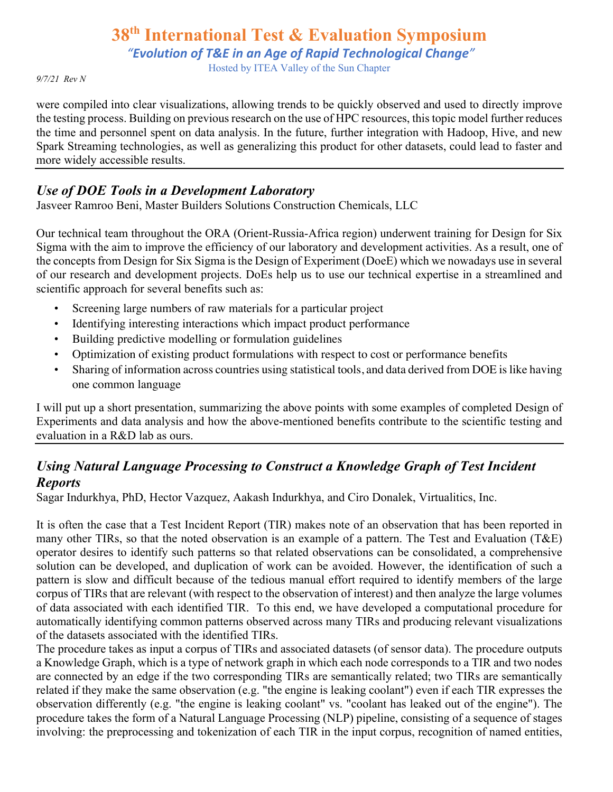*"Evolution of T&E in an Age of Rapid Technological Change"*

Hosted by ITEA Valley of the Sun Chapter

*9/7/21 Rev N*

were compiled into clear visualizations, allowing trends to be quickly observed and used to directly improve the testing process. Building on previous research on the use of HPC resources, this topic model further reduces the time and personnel spent on data analysis. In the future, further integration with Hadoop, Hive, and new Spark Streaming technologies, as well as generalizing this product for other datasets, could lead to faster and more widely accessible results.

### *Use of DOE Tools in a Development Laboratory*

Jasveer Ramroo Beni, Master Builders Solutions Construction Chemicals, LLC

Our technical team throughout the ORA (Orient-Russia-Africa region) underwent training for Design for Six Sigma with the aim to improve the efficiency of our laboratory and development activities. As a result, one of the concepts from Design for Six Sigma is the Design of Experiment (DoeE) which we nowadays use in several of our research and development projects. DoEs help us to use our technical expertise in a streamlined and scientific approach for several benefits such as:

- Screening large numbers of raw materials for a particular project
- Identifying interesting interactions which impact product performance
- Building predictive modelling or formulation guidelines
- Optimization of existing product formulations with respect to cost or performance benefits
- Sharing of information across countries using statistical tools, and data derived from DOE is like having one common language

I will put up a short presentation, summarizing the above points with some examples of completed Design of Experiments and data analysis and how the above-mentioned benefits contribute to the scientific testing and evaluation in a R&D lab as ours.

# *Using Natural Language Processing to Construct a Knowledge Graph of Test Incident Reports*

Sagar Indurkhya, PhD, Hector Vazquez, Aakash Indurkhya, and Ciro Donalek, Virtualitics, Inc.

It is often the case that a Test Incident Report (TIR) makes note of an observation that has been reported in many other TIRs, so that the noted observation is an example of a pattern. The Test and Evaluation (T&E) operator desires to identify such patterns so that related observations can be consolidated, a comprehensive solution can be developed, and duplication of work can be avoided. However, the identification of such a pattern is slow and difficult because of the tedious manual effort required to identify members of the large corpus of TIRs that are relevant (with respect to the observation of interest) and then analyze the large volumes of data associated with each identified TIR. To this end, we have developed a computational procedure for automatically identifying common patterns observed across many TIRs and producing relevant visualizations of the datasets associated with the identified TIRs.

The procedure takes as input a corpus of TIRs and associated datasets (of sensor data). The procedure outputs a Knowledge Graph, which is a type of network graph in which each node corresponds to a TIR and two nodes are connected by an edge if the two corresponding TIRs are semantically related; two TIRs are semantically related if they make the same observation (e.g. "the engine is leaking coolant") even if each TIR expresses the observation differently (e.g. "the engine is leaking coolant" vs. "coolant has leaked out of the engine"). The procedure takes the form of a Natural Language Processing (NLP) pipeline, consisting of a sequence of stages involving: the preprocessing and tokenization of each TIR in the input corpus, recognition of named entities,